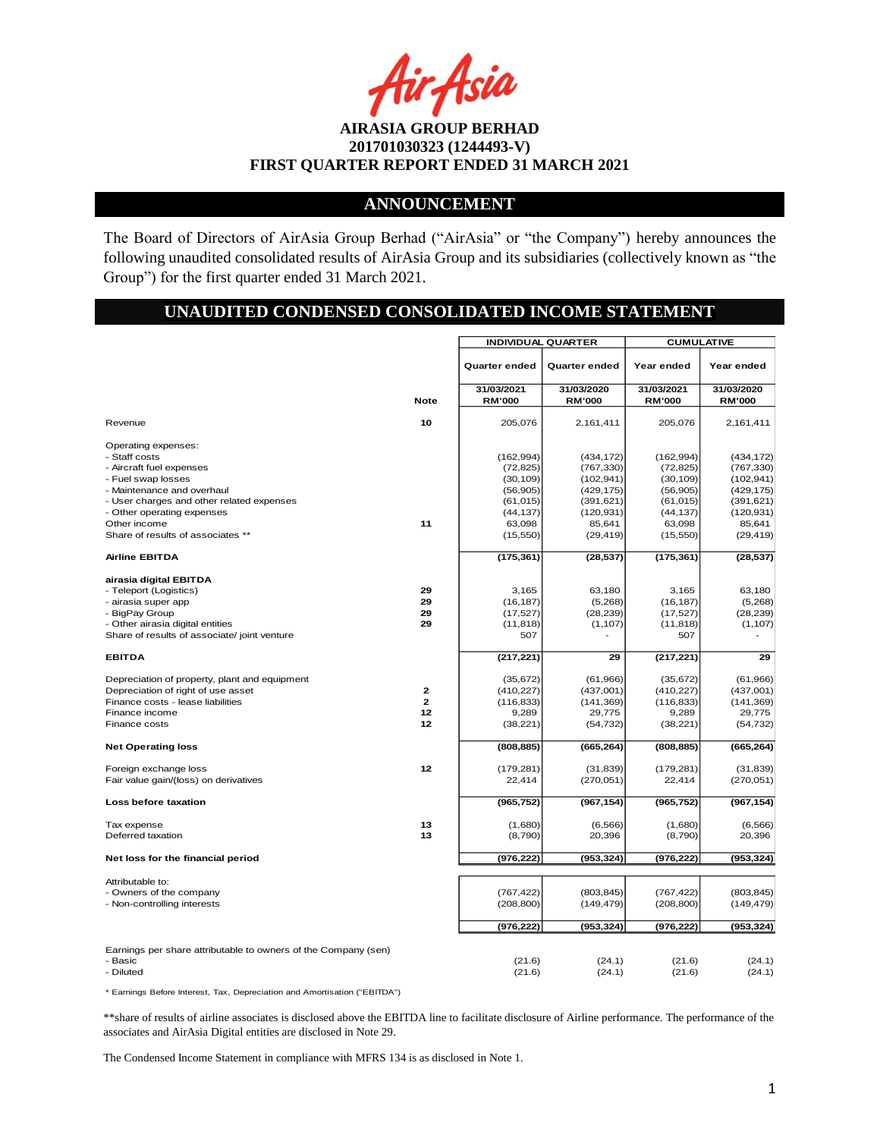ir Asia

## **ANNOUNCEMENT**

The Board of Directors of AirAsia Group Berhad ("AirAsia" or "the Company") hereby announces the following unaudited consolidated results of AirAsia Group and its subsidiaries (collectively known as "the Group") for the first quarter ended 31 March 2021.

## **UNAUDITED CONDENSED CONSOLIDATED INCOME STATEMENT**

|                                                                |                | <b>INDIVIDUAL QUARTER</b> |               | <b>CUMULATIVE</b> |               |
|----------------------------------------------------------------|----------------|---------------------------|---------------|-------------------|---------------|
|                                                                |                | Quarter ended             | Quarter ended | Year ended        | Year ended    |
|                                                                |                | 31/03/2021                | 31/03/2020    | 31/03/2021        | 31/03/2020    |
|                                                                | <b>Note</b>    | <b>RM'000</b>             | <b>RM'000</b> | <b>RM'000</b>     | <b>RM'000</b> |
| Revenue                                                        | 10             | 205,076                   | 2,161,411     | 205,076           | 2,161,411     |
| Operating expenses:<br>- Staff costs                           |                | (162, 994)                | (434, 172)    | (162, 994)        | (434, 172)    |
| - Aircraft fuel expenses                                       |                | (72, 825)                 | (767, 330)    | (72, 825)         | (767, 330)    |
| - Fuel swap losses                                             |                | (30, 109)                 | (102, 941)    | (30, 109)         | (102, 941)    |
| - Maintenance and overhaul                                     |                | (56, 905)                 | (429, 175)    | (56, 905)         | (429, 175)    |
| - User charges and other related expenses                      |                | (61, 015)                 | (391, 621)    | (61, 015)         | (391, 621)    |
| - Other operating expenses                                     |                | (44, 137)                 | (120, 931)    | (44, 137)         | (120, 931)    |
| Other income                                                   | 11             | 63,098                    | 85,641        | 63,098            | 85,641        |
| Share of results of associates **                              |                | (15, 550)                 | (29, 419)     | (15, 550)         | (29, 419)     |
| <b>Airline EBITDA</b>                                          |                | (175, 361)                | (28, 537)     | (175, 361)        | (28, 537)     |
| airasia digital EBITDA                                         |                |                           |               |                   |               |
| - Teleport (Logistics)                                         | 29             | 3,165                     | 63,180        | 3,165             | 63.180        |
| - airasia super app                                            | 29             | (16, 187)                 | (5,268)       | (16, 187)         | (5,268)       |
| - BigPay Group                                                 | 29             | (17, 527)                 | (28, 239)     | (17, 527)         | (28, 239)     |
| - Other airasia digital entities                               | 29             | (11, 818)                 | (1, 107)      | (11, 818)         | (1, 107)      |
| Share of results of associate/ joint venture                   |                | 507                       |               | 507               |               |
| <b>EBITDA</b>                                                  |                | (217, 221)                | 29            | (217, 221)        | 29            |
| Depreciation of property, plant and equipment                  |                | (35, 672)                 | (61, 966)     | (35, 672)         | (61,966)      |
| Depreciation of right of use asset                             | $\mathbf{2}$   | (410, 227)                | (437,001)     | (410, 227)        | (437,001)     |
| Finance costs - lease liabilities                              | $\overline{a}$ | (116, 833)                | (141, 369)    | (116, 833)        | (141, 369)    |
| Finance income                                                 | $12 \,$        | 9,289                     | 29,775        | 9,289             | 29,775        |
| Finance costs                                                  | $12 \,$        | (38, 221)                 | (54, 732)     | (38, 221)         | (54, 732)     |
| <b>Net Operating loss</b>                                      |                | (808, 885)                | (665, 264)    | (808, 885)        | (665, 264)    |
| Foreign exchange loss                                          | $12 \,$        | (179, 281)                | (31, 839)     | (179, 281)        | (31, 839)     |
| Fair value gain/(loss) on derivatives                          |                | 22,414                    | (270,051)     | 22,414            | (270, 051)    |
| Loss before taxation                                           |                | (965, 752)                | (967, 154)    | (965, 752)        | (967, 154)    |
| Tax expense                                                    | 13             | (1,680)                   | (6, 566)      | (1,680)           | (6, 566)      |
| Deferred taxation                                              | 13             | (8,790)                   | 20,396        | (8,790)           | 20,396        |
| Net loss for the financial period                              |                | (976, 222)                | (953, 324)    | (976,222)         | (953, 324)    |
|                                                                |                |                           |               |                   |               |
| Attributable to:                                               |                |                           |               |                   |               |
| - Owners of the company                                        |                | (767, 422)                | (803, 845)    | (767, 422)        | (803, 845)    |
| - Non-controlling interests                                    |                | (208, 800)                | (149, 479)    | (208, 800)        | (149, 479)    |
|                                                                |                | (976, 222)                | (953, 324)    | (976,222)         | (953, 324)    |
| Earnings per share attributable to owners of the Company (sen) |                |                           |               |                   |               |
| - Basic                                                        |                | (21.6)                    | (24.1)        | (21.6)            | (24.1)        |
| - Diluted                                                      |                | (21.6)                    | (24.1)        | (21.6)            | (24.1)        |
|                                                                |                |                           |               |                   |               |

\* Earnings Before Interest, Tax, Depreciation and Amortisation ("EBITDA")

\*\*share of results of airline associates is disclosed above the EBITDA line to facilitate disclosure of Airline performance. The performance of the associates and AirAsia Digital entities are disclosed in Note 29.

The Condensed Income Statement in compliance with MFRS 134 is as disclosed in Note 1.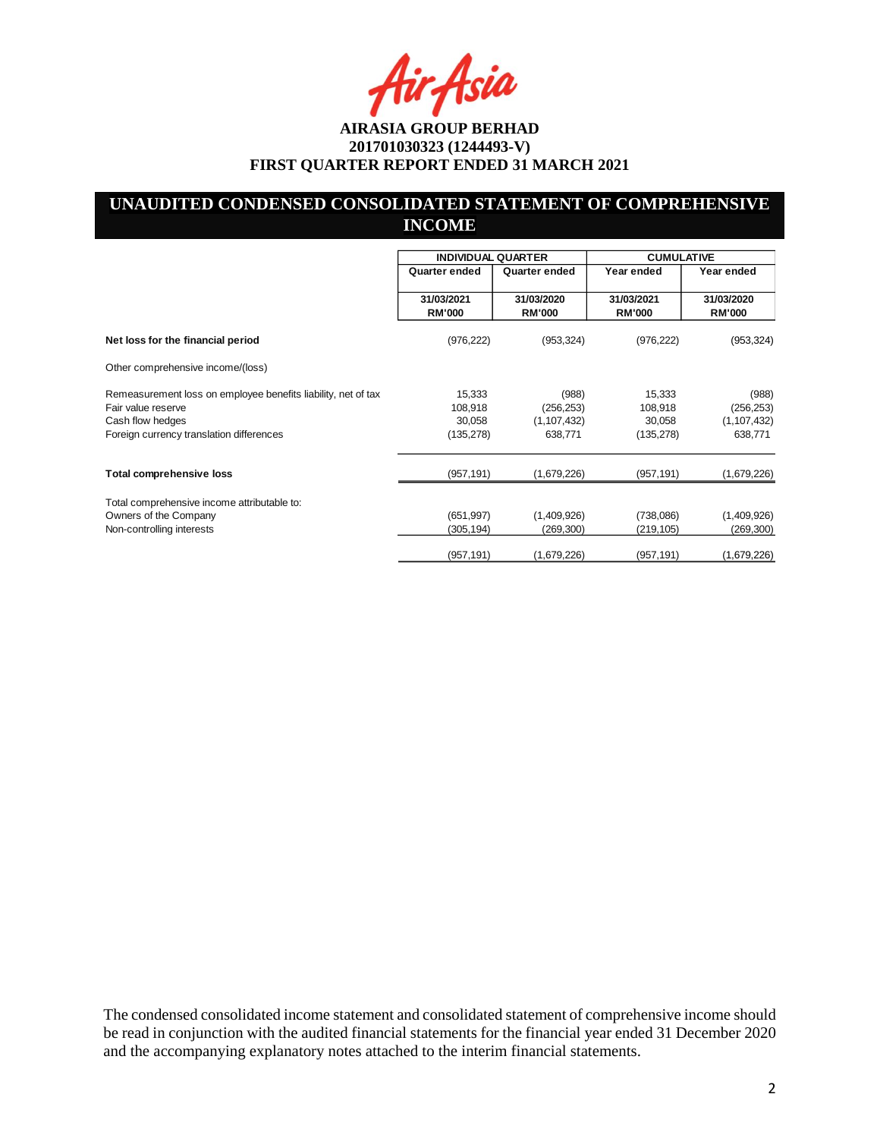Asia

## **UNAUDITED CONDENSED CONSOLIDATED STATEMENT OF COMPREHENSIVE INCOME**

|                                                                                                                                                     | <b>INDIVIDUAL QUARTER</b>                 |                                                 | <b>CUMULATIVE</b>                         |                                                 |
|-----------------------------------------------------------------------------------------------------------------------------------------------------|-------------------------------------------|-------------------------------------------------|-------------------------------------------|-------------------------------------------------|
|                                                                                                                                                     | Quarter ended                             | Quarter ended                                   | Year ended                                | Year ended                                      |
|                                                                                                                                                     | 31/03/2021<br><b>RM'000</b>               | 31/03/2020<br><b>RM'000</b>                     | 31/03/2021<br><b>RM'000</b>               | 31/03/2020<br><b>RM'000</b>                     |
| Net loss for the financial period                                                                                                                   | (976, 222)                                | (953, 324)                                      | (976, 222)                                | (953, 324)                                      |
| Other comprehensive income/(loss)                                                                                                                   |                                           |                                                 |                                           |                                                 |
| Remeasurement loss on employee benefits liability, net of tax<br>Fair value reserve<br>Cash flow hedges<br>Foreign currency translation differences | 15,333<br>108,918<br>30,058<br>(135, 278) | (988)<br>(256, 253)<br>(1, 107, 432)<br>638,771 | 15,333<br>108,918<br>30,058<br>(135, 278) | (988)<br>(256, 253)<br>(1, 107, 432)<br>638,771 |
| Total comprehensive loss                                                                                                                            | (957, 191)                                | (1,679,226)                                     | (957, 191)                                | (1,679,226)                                     |
| Total comprehensive income attributable to:<br>Owners of the Company<br>Non-controlling interests                                                   | (651, 997)<br>(305,194)                   | (1,409,926)<br>(269,300)                        | (738,086)<br>(219, 105)                   | (1,409,926)<br>(269, 300)                       |
|                                                                                                                                                     | (957, 191)                                | (1,679,226)                                     | (957, 191)                                | (1,679,226)                                     |

The condensed consolidated income statement and consolidated statement of comprehensive income should be read in conjunction with the audited financial statements for the financial year ended 31 December 2020 and the accompanying explanatory notes attached to the interim financial statements.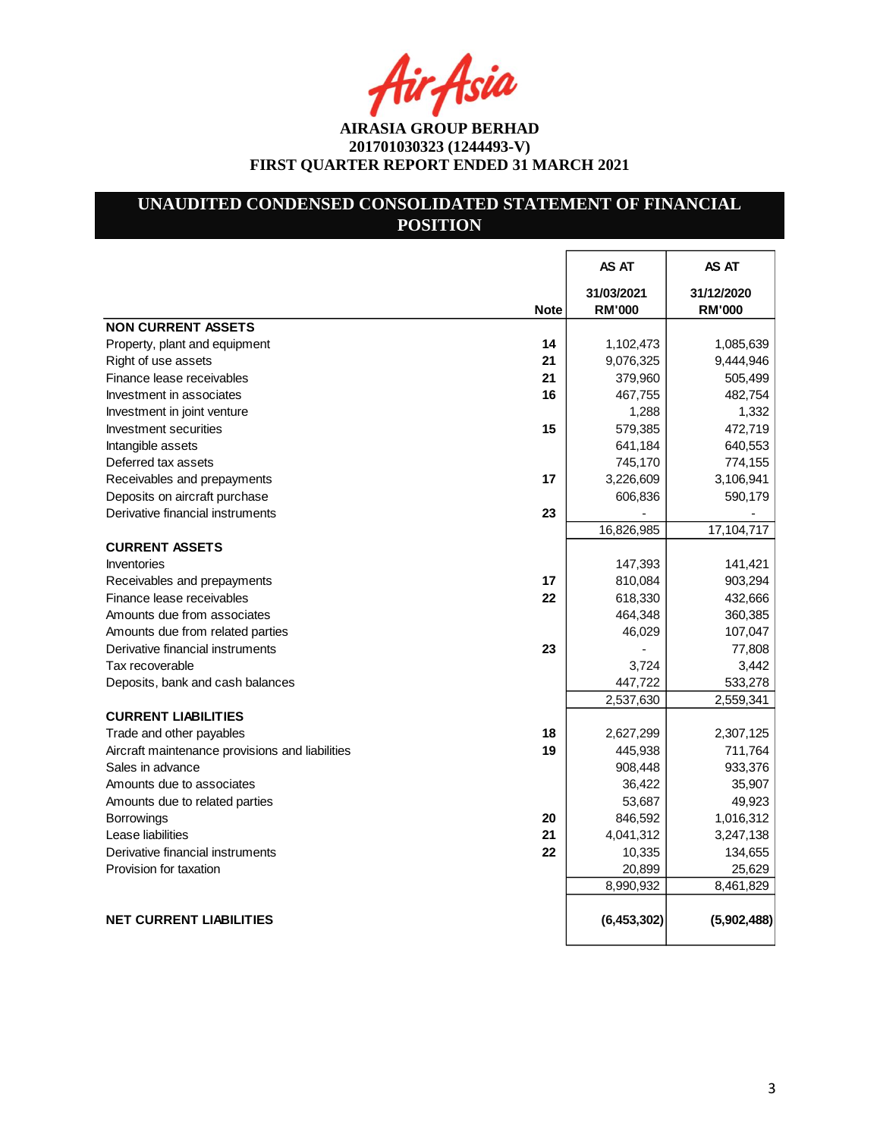tir Asia

## **UNAUDITED CONDENSED CONSOLIDATED STATEMENT OF FINANCIAL POSITION**

|                                                       | AS AT                       | AS AT                       |
|-------------------------------------------------------|-----------------------------|-----------------------------|
| <b>Note</b>                                           | 31/03/2021<br><b>RM'000</b> | 31/12/2020<br><b>RM'000</b> |
| <b>NON CURRENT ASSETS</b>                             |                             |                             |
| 14<br>Property, plant and equipment                   | 1,102,473                   | 1,085,639                   |
| 21<br>Right of use assets                             | 9,076,325                   | 9,444,946                   |
| Finance lease receivables<br>21                       | 379,960                     | 505,499                     |
| Investment in associates<br>16                        | 467,755                     | 482,754                     |
| Investment in joint venture                           | 1,288                       | 1,332                       |
| 15<br>Investment securities                           | 579,385                     | 472,719                     |
| Intangible assets                                     | 641,184                     | 640,553                     |
| Deferred tax assets                                   | 745,170                     | 774,155                     |
| 17<br>Receivables and prepayments                     | 3,226,609                   | 3,106,941                   |
| Deposits on aircraft purchase                         | 606,836                     | 590,179                     |
| Derivative financial instruments<br>23                |                             |                             |
|                                                       | 16,826,985                  | 17,104,717                  |
| <b>CURRENT ASSETS</b>                                 |                             |                             |
| Inventories                                           | 147,393                     | 141,421                     |
| 17<br>Receivables and prepayments                     | 810,084                     | 903,294                     |
| Finance lease receivables<br>22                       | 618,330                     | 432,666                     |
| Amounts due from associates                           | 464,348                     | 360,385                     |
| Amounts due from related parties                      | 46,029                      | 107,047                     |
| 23<br>Derivative financial instruments                |                             | 77,808                      |
| Tax recoverable                                       | 3,724                       | 3,442                       |
| Deposits, bank and cash balances                      | 447,722                     | 533,278                     |
|                                                       | 2,537,630                   | 2,559,341                   |
| <b>CURRENT LIABILITIES</b>                            |                             |                             |
| 18<br>Trade and other payables                        | 2,627,299                   | 2,307,125                   |
| Aircraft maintenance provisions and liabilities<br>19 | 445,938                     | 711,764                     |
| Sales in advance                                      | 908,448                     | 933,376                     |
| Amounts due to associates                             | 36,422                      | 35,907                      |
| Amounts due to related parties                        | 53,687                      | 49,923                      |
| 20<br><b>Borrowings</b>                               | 846,592                     | 1,016,312                   |
| 21<br>Lease liabilities                               | 4,041,312                   | 3,247,138                   |
| 22<br>Derivative financial instruments                | 10,335                      | 134,655                     |
| Provision for taxation                                | 20,899                      | 25,629                      |
|                                                       | 8,990,932                   | 8,461,829                   |
| <b>NET CURRENT LIABILITIES</b>                        | (6,453,302)                 | (5,902,488)                 |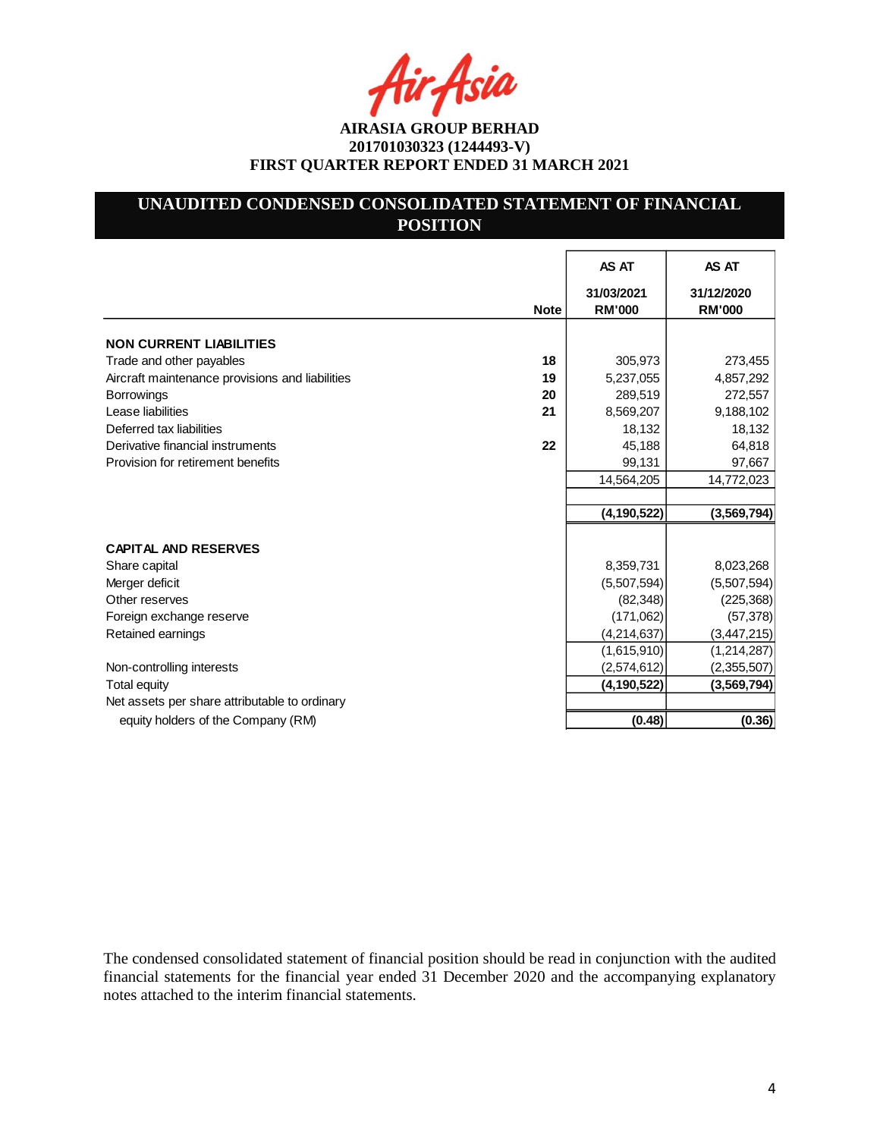Asia

## **UNAUDITED CONDENSED CONSOLIDATED STATEMENT OF FINANCIAL POSITION**

|                                                 |             | <b>AS AT</b>                | AS AT                       |
|-------------------------------------------------|-------------|-----------------------------|-----------------------------|
|                                                 | <b>Note</b> | 31/03/2021<br><b>RM'000</b> | 31/12/2020<br><b>RM'000</b> |
| <b>NON CURRENT LIABILITIES</b>                  |             |                             |                             |
| Trade and other payables                        | 18          | 305,973                     | 273,455                     |
| Aircraft maintenance provisions and liabilities | 19          | 5,237,055                   | 4,857,292                   |
| <b>Borrowings</b>                               | 20          | 289,519                     | 272,557                     |
| Lease liabilities                               | 21          | 8,569,207                   | 9,188,102                   |
| Deferred tax liabilities                        |             | 18,132                      | 18,132                      |
| Derivative financial instruments                | 22          | 45,188                      | 64,818                      |
| Provision for retirement benefits               |             | 99,131                      | 97,667                      |
|                                                 |             | 14,564,205                  | 14,772,023                  |
|                                                 |             |                             |                             |
|                                                 |             | (4, 190, 522)               | (3, 569, 794)               |
| <b>CAPITAL AND RESERVES</b>                     |             |                             |                             |
| Share capital                                   |             | 8,359,731                   | 8,023,268                   |
| Merger deficit                                  |             | (5,507,594)                 | (5,507,594)                 |
| Other reserves                                  |             | (82, 348)                   | (225, 368)                  |
| Foreign exchange reserve                        |             | (171,062)                   | (57, 378)                   |
| Retained earnings                               |             | (4,214,637)                 | (3, 447, 215)               |
|                                                 |             | (1,615,910)                 | (1, 214, 287)               |
| Non-controlling interests                       |             | (2,574,612)                 | (2,355,507)                 |
| <b>Total equity</b>                             |             | (4, 190, 522)               | (3,569,794)                 |
| Net assets per share attributable to ordinary   |             |                             |                             |
| equity holders of the Company (RM)              |             | (0.48)                      | (0.36)                      |

The condensed consolidated statement of financial position should be read in conjunction with the audited financial statements for the financial year ended 31 December 2020 and the accompanying explanatory notes attached to the interim financial statements.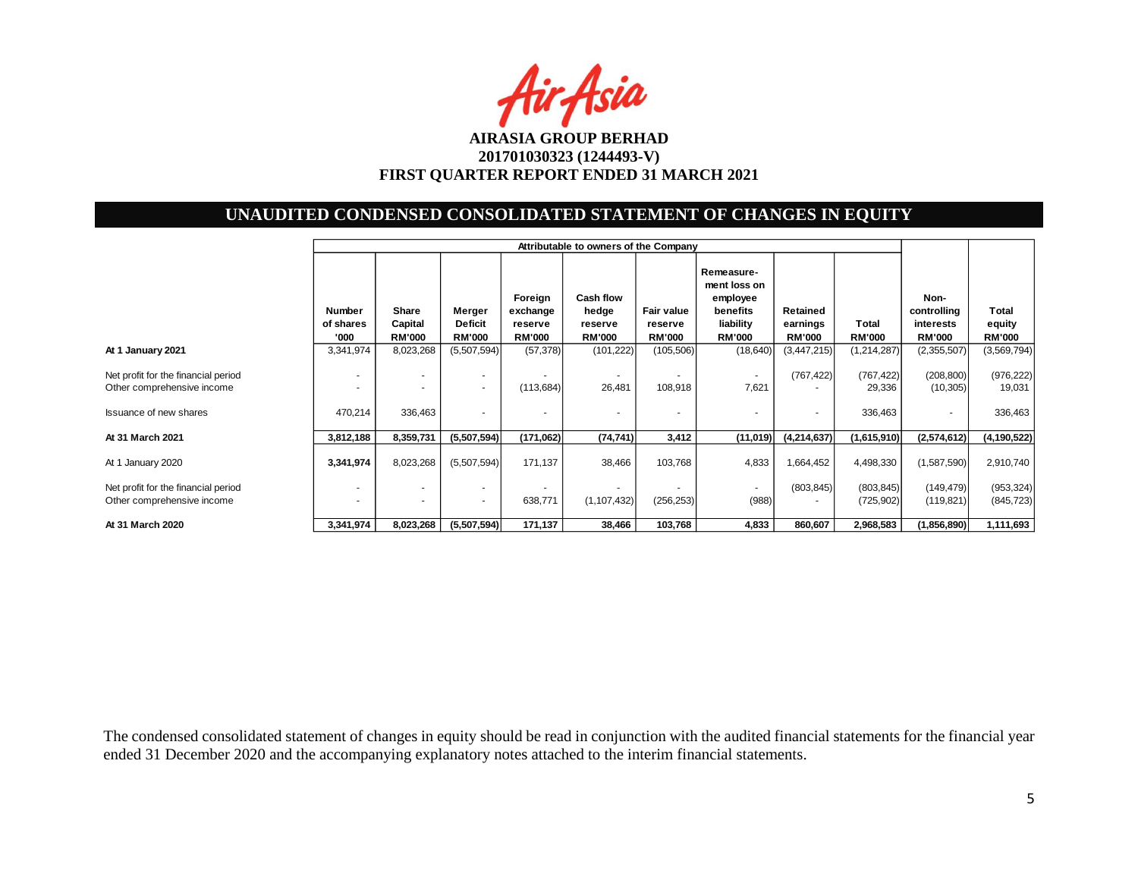Air Asia

## **UNAUDITED CONDENSED CONSOLIDATED STATEMENT OF CHANGES IN EQUITY**

|                                                                                                    | Attributable to owners of the Company |                                   |                                           |                                                 |                                                |                                        |                                                                                  |                                       |                                 |                                                   |                                  |
|----------------------------------------------------------------------------------------------------|---------------------------------------|-----------------------------------|-------------------------------------------|-------------------------------------------------|------------------------------------------------|----------------------------------------|----------------------------------------------------------------------------------|---------------------------------------|---------------------------------|---------------------------------------------------|----------------------------------|
|                                                                                                    | <b>Number</b><br>of shares<br>'000    | Share<br>Capital<br><b>RM'000</b> | Merger<br><b>Deficit</b><br><b>RM'000</b> | Foreign<br>exchange<br>reserve<br><b>RM'000</b> | Cash flow<br>hedge<br>reserve<br><b>RM'000</b> | Fair value<br>reserve<br><b>RM'000</b> | Remeasure-<br>ment loss on<br>employee<br>benefits<br>liability<br><b>RM'000</b> | Retained<br>earnings<br><b>RM'000</b> | Total<br><b>RM'000</b>          | Non-<br>controlling<br>interests<br><b>RM'000</b> | Total<br>equity<br><b>RM'000</b> |
| At 1 January 2021                                                                                  | 3,341,974                             | 8,023,268                         | (5,507,594)                               | (57, 378)                                       | (101, 222)                                     | (105, 506)                             | (18, 640)                                                                        | (3,447,215)                           | (1, 214, 287)                   | (2,355,507)                                       | (3,569,794)                      |
| Net profit for the financial period<br>Other comprehensive income<br><b>Issuance of new shares</b> | $\overline{\phantom{a}}$<br>470,214   | ٠<br>336,463                      | $\sim$<br>٠<br>٠                          | (113, 684)                                      | $\sim$<br>26,481<br>$\sim$                     | 108,918<br>٠                           | $\overline{\phantom{a}}$<br>7,621<br>٠                                           | (767, 422)                            | (767, 422)<br>29,336<br>336,463 | (208, 800)<br>(10, 305)                           | (976, 222)<br>19,031<br>336,463  |
| At 31 March 2021                                                                                   | 3,812,188                             | 8,359,731                         | (5,507,594)                               | (171,062)                                       | (74, 741)                                      | 3,412                                  | (11,019)                                                                         | (4,214,637)                           | (1,615,910)                     | (2,574,612)                                       | (4, 190, 522)                    |
| At 1 January 2020                                                                                  | 3,341,974                             | 8,023,268                         | (5,507,594)                               | 171,137                                         | 38,466                                         | 103,768                                | 4,833                                                                            | 1,664,452                             | 4,498,330                       | (1,587,590)                                       | 2,910,740                        |
| Net profit for the financial period<br>Other comprehensive income                                  | $\overline{\phantom{a}}$<br>٠         | $\overline{a}$                    | ٠<br>٠                                    | 638,771                                         | (1, 107, 432)                                  | (256, 253)                             | $\overline{\phantom{a}}$<br>(988)                                                | (803, 845)                            | (803, 845)<br>(725, 902)        | (149, 479)<br>(119, 821)                          | (953, 324)<br>(845, 723)         |
| At 31 March 2020                                                                                   | 3,341,974                             | 8,023,268                         | (5,507,594)                               | 171,137                                         | 38,466                                         | 103,768                                | 4,833                                                                            | 860,607                               | 2,968,583                       | (1,856,890)                                       | 1,111,693                        |

The condensed consolidated statement of changes in equity should be read in conjunction with the audited financial statements for the financial year ended 31 December 2020 and the accompanying explanatory notes attached to the interim financial statements.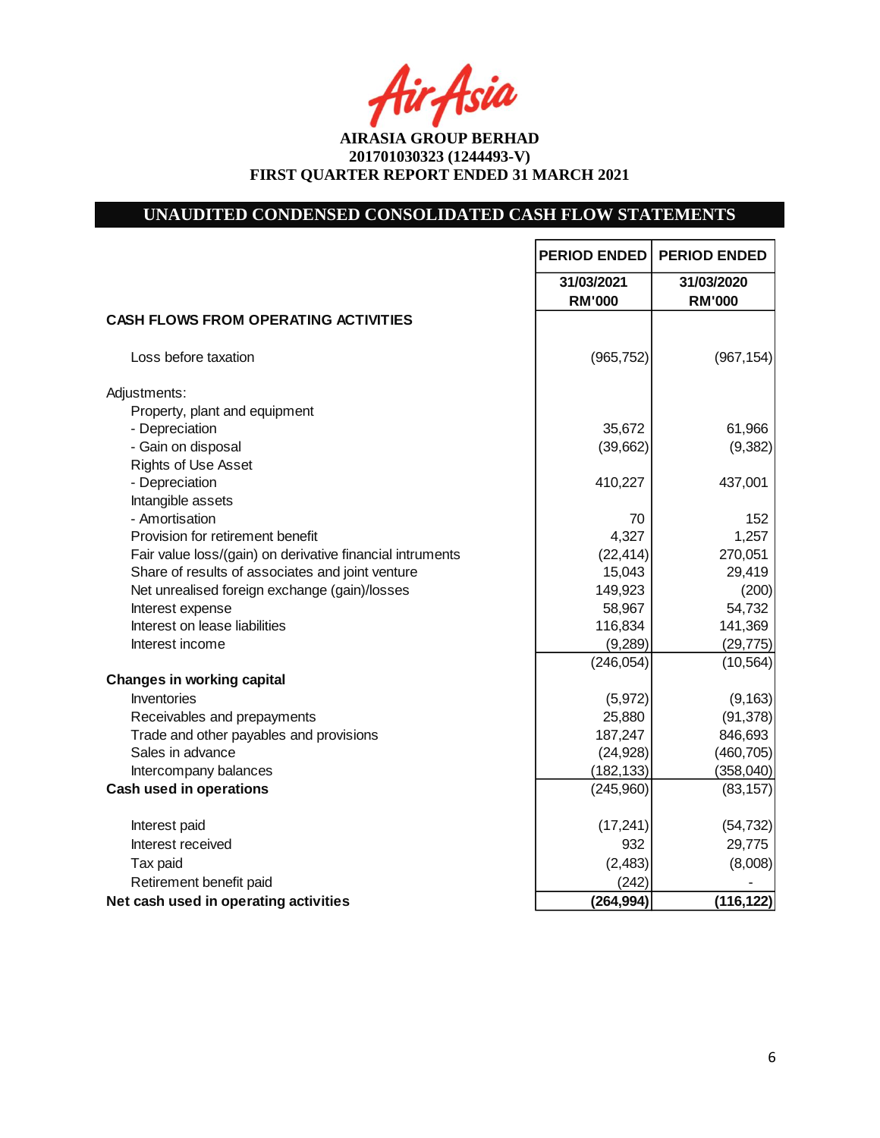fir<sub>f</sub>fsia

# **UNAUDITED CONDENSED CONSOLIDATED CASH FLOW STATEMENTS**

|                                                           | <b>PERIOD ENDED</b> | <b>PERIOD ENDED</b> |
|-----------------------------------------------------------|---------------------|---------------------|
|                                                           | 31/03/2021          | 31/03/2020          |
|                                                           | <b>RM'000</b>       | <b>RM'000</b>       |
| <b>CASH FLOWS FROM OPERATING ACTIVITIES</b>               |                     |                     |
| Loss before taxation                                      | (965, 752)          | (967, 154)          |
| Adjustments:                                              |                     |                     |
| Property, plant and equipment                             |                     |                     |
| - Depreciation                                            | 35,672              | 61,966              |
| - Gain on disposal                                        | (39,662)            | (9, 382)            |
| Rights of Use Asset                                       |                     |                     |
| - Depreciation                                            | 410,227             | 437,001             |
| Intangible assets                                         |                     |                     |
| - Amortisation                                            | 70                  | 152                 |
| Provision for retirement benefit                          | 4,327               | 1,257               |
| Fair value loss/(gain) on derivative financial intruments | (22, 414)           | 270,051             |
| Share of results of associates and joint venture          | 15,043              | 29,419              |
| Net unrealised foreign exchange (gain)/losses             | 149,923             | (200)               |
| Interest expense                                          | 58,967              | 54,732              |
| Interest on lease liabilities                             | 116,834             | 141,369             |
| Interest income                                           | (9, 289)            | (29, 775)           |
|                                                           | (246, 054)          | (10, 564)           |
| <b>Changes in working capital</b>                         |                     |                     |
| <b>Inventories</b>                                        | (5,972)             | (9, 163)            |
| Receivables and prepayments                               | 25,880              | (91, 378)           |
| Trade and other payables and provisions                   | 187,247             | 846,693             |
| Sales in advance                                          | (24, 928)           | (460, 705)          |
| Intercompany balances                                     | (182, 133)          | (358, 040)          |
| <b>Cash used in operations</b>                            | (245,960)           | (83, 157)           |
| Interest paid                                             | (17, 241)           | (54, 732)           |
| Interest received                                         | 932                 | 29,775              |
| Tax paid                                                  | (2, 483)            | (8,008)             |
| Retirement benefit paid                                   | (242)               |                     |
| Net cash used in operating activities                     | (264, 994)          | (116, 122)          |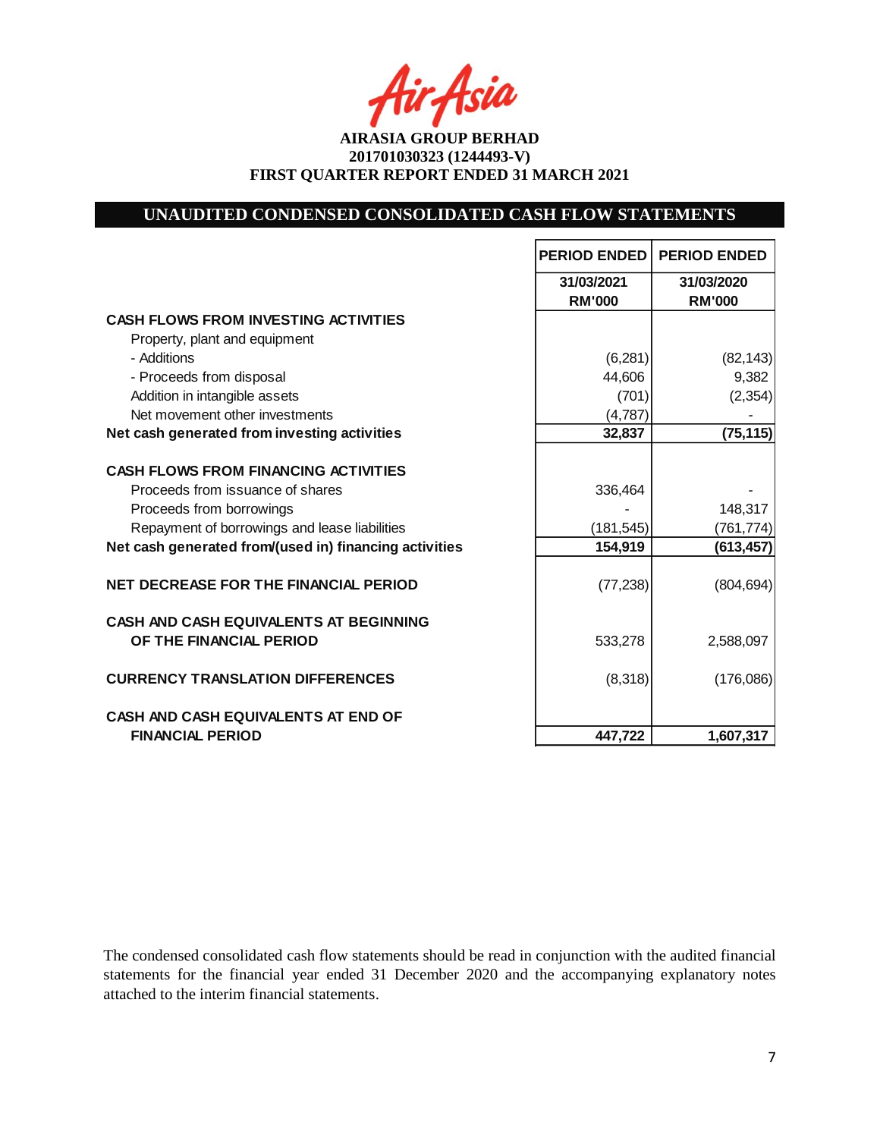-Asia

**AIRASIA GROUP BERHAD 201701030323 (1244493-V) FIRST QUARTER REPORT ENDED 31 MARCH 2021**

## **UNAUDITED CONDENSED CONSOLIDATED CASH FLOW STATEMENTS**

|                                                                          | <b>PERIOD ENDED</b>         | <b>PERIOD ENDED</b>         |
|--------------------------------------------------------------------------|-----------------------------|-----------------------------|
|                                                                          | 31/03/2021<br><b>RM'000</b> | 31/03/2020<br><b>RM'000</b> |
| <b>CASH FLOWS FROM INVESTING ACTIVITIES</b>                              |                             |                             |
| Property, plant and equipment                                            |                             |                             |
| - Additions                                                              | (6, 281)                    | (82, 143)                   |
| - Proceeds from disposal                                                 | 44,606                      | 9,382                       |
| Addition in intangible assets                                            | (701)                       | (2, 354)                    |
| Net movement other investments                                           | (4,787)                     |                             |
| Net cash generated from investing activities                             | 32,837                      | (75, 115)                   |
| <b>CASH FLOWS FROM FINANCING ACTIVITIES</b>                              |                             |                             |
| Proceeds from issuance of shares                                         | 336,464                     |                             |
| Proceeds from borrowings                                                 |                             | 148,317                     |
| Repayment of borrowings and lease liabilities                            | (181, 545)                  | (761, 774)                  |
| Net cash generated from/(used in) financing activities                   | 154,919                     | (613, 457)                  |
| <b>NET DECREASE FOR THE FINANCIAL PERIOD</b>                             | (77, 238)                   | (804, 694)                  |
| <b>CASH AND CASH EQUIVALENTS AT BEGINNING</b><br>OF THE FINANCIAL PERIOD | 533,278                     | 2,588,097                   |
| <b>CURRENCY TRANSLATION DIFFERENCES</b>                                  | (8,318)                     | (176,086)                   |
| <b>CASH AND CASH EQUIVALENTS AT END OF</b>                               |                             |                             |
| <b>FINANCIAL PERIOD</b>                                                  | 447,722                     | 1,607,317                   |

The condensed consolidated cash flow statements should be read in conjunction with the audited financial statements for the financial year ended 31 December 2020 and the accompanying explanatory notes attached to the interim financial statements.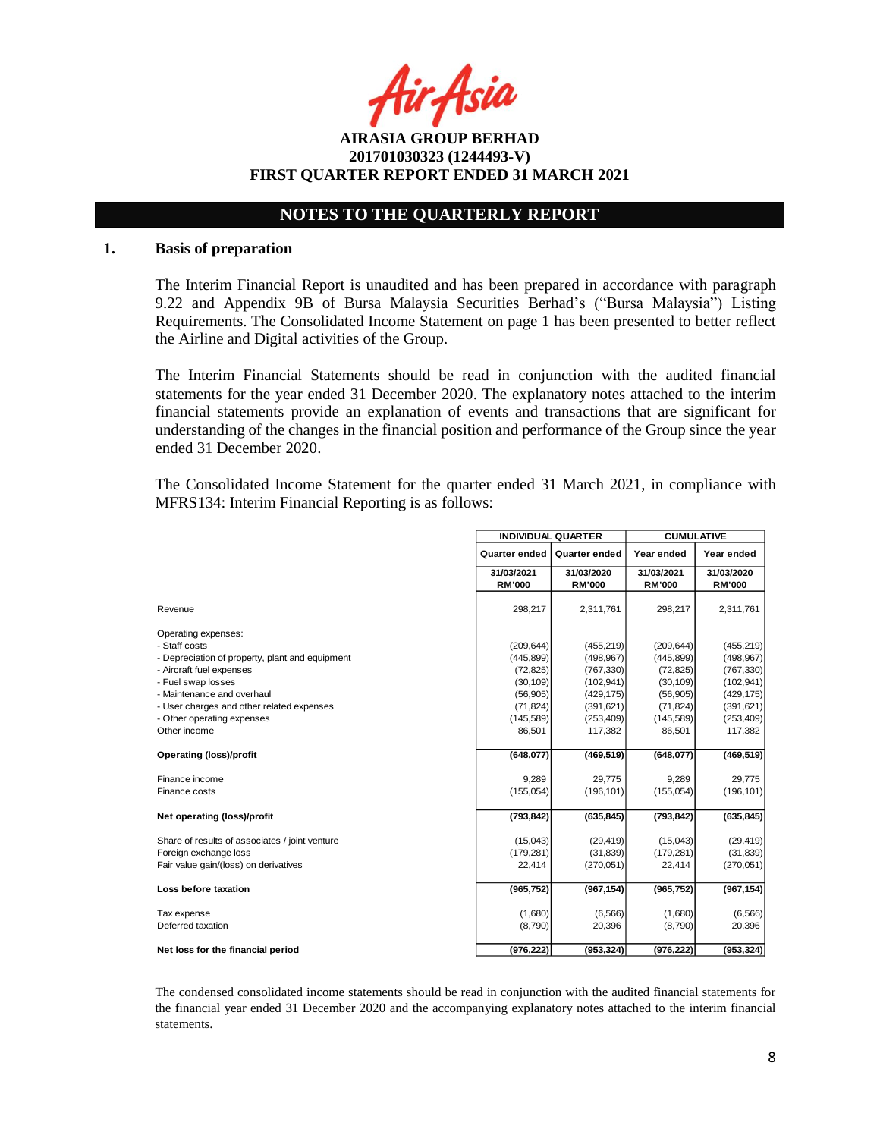Asia

**AIRASIA GROUP BERHAD 201701030323 (1244493-V) FIRST QUARTER REPORT ENDED 31 MARCH 2021**

## **NOTES TO THE QUARTERLY REPORT**

#### **1. Basis of preparation**

The Interim Financial Report is unaudited and has been prepared in accordance with paragraph 9.22 and Appendix 9B of Bursa Malaysia Securities Berhad's ("Bursa Malaysia") Listing Requirements. The Consolidated Income Statement on page 1 has been presented to better reflect the Airline and Digital activities of the Group.

The Interim Financial Statements should be read in conjunction with the audited financial statements for the year ended 31 December 2020. The explanatory notes attached to the interim financial statements provide an explanation of events and transactions that are significant for understanding of the changes in the financial position and performance of the Group since the year ended 31 December 2020.

The Consolidated Income Statement for the quarter ended 31 March 2021, in compliance with MFRS134: Interim Financial Reporting is as follows:

|                                                 | <b>INDIVIDUAL QUARTER</b> |                      | <b>CUMULATIVE</b> |               |  |
|-------------------------------------------------|---------------------------|----------------------|-------------------|---------------|--|
|                                                 | Quarter ended             | <b>Quarter ended</b> | Year ended        | Year ended    |  |
|                                                 | 31/03/2021                | 31/03/2020           | 31/03/2021        | 31/03/2020    |  |
|                                                 | <b>RM'000</b>             | <b>RM'000</b>        | <b>RM'000</b>     | <b>RM'000</b> |  |
| Revenue                                         | 298,217                   | 2,311,761            | 298,217           | 2,311,761     |  |
| Operating expenses:                             |                           |                      |                   |               |  |
| - Staff costs                                   | (209, 644)                | (455, 219)           | (209, 644)        | (455, 219)    |  |
| - Depreciation of property, plant and equipment | (445, 899)                | (498, 967)           | (445, 899)        | (498, 967)    |  |
| - Aircraft fuel expenses                        | (72, 825)                 | (767, 330)           | (72, 825)         | (767, 330)    |  |
| - Fuel swap losses                              | (30, 109)                 | (102, 941)           | (30, 109)         | (102, 941)    |  |
| - Maintenance and overhaul                      | (56, 905)                 | (429, 175)           | (56, 905)         | (429, 175)    |  |
| - User charges and other related expenses       | (71, 824)                 | (391, 621)           | (71, 824)         | (391, 621)    |  |
| - Other operating expenses                      | (145, 589)                | (253, 409)           | (145, 589)        | (253, 409)    |  |
| Other income                                    | 86,501                    | 117,382              | 86,501            | 117,382       |  |
| <b>Operating (loss)/profit</b>                  | (648, 077)                | (469, 519)           | (648, 077)        | (469, 519)    |  |
| Finance income                                  | 9,289                     | 29,775               | 9,289             | 29,775        |  |
| Finance costs                                   | (155, 054)                | (196, 101)           | (155,054)         | (196, 101)    |  |
|                                                 |                           |                      |                   |               |  |
| Net operating (loss)/profit                     | (793, 842)                | (635, 845)           | (793, 842)        | (635, 845)    |  |
| Share of results of associates / joint venture  | (15,043)                  | (29, 419)            | (15,043)          | (29, 419)     |  |
| Foreign exchange loss                           | (179, 281)                | (31, 839)            | (179, 281)        | (31, 839)     |  |
| Fair value gain/(loss) on derivatives           | 22,414                    | (270, 051)           | 22,414            | (270, 051)    |  |
|                                                 |                           |                      |                   |               |  |
| Loss before taxation                            | (965, 752)                | (967, 154)           | (965, 752)        | (967, 154)    |  |
| Tax expense                                     | (1,680)                   | (6, 566)             | (1,680)           | (6, 566)      |  |
| Deferred taxation                               | (8,790)                   | 20,396               | (8,790)           | 20,396        |  |
| Net loss for the financial period               | (976, 222)                | (953, 324)           | (976, 222)        | (953, 324)    |  |

The condensed consolidated income statements should be read in conjunction with the audited financial statements for the financial year ended 31 December 2020 and the accompanying explanatory notes attached to the interim financial statements.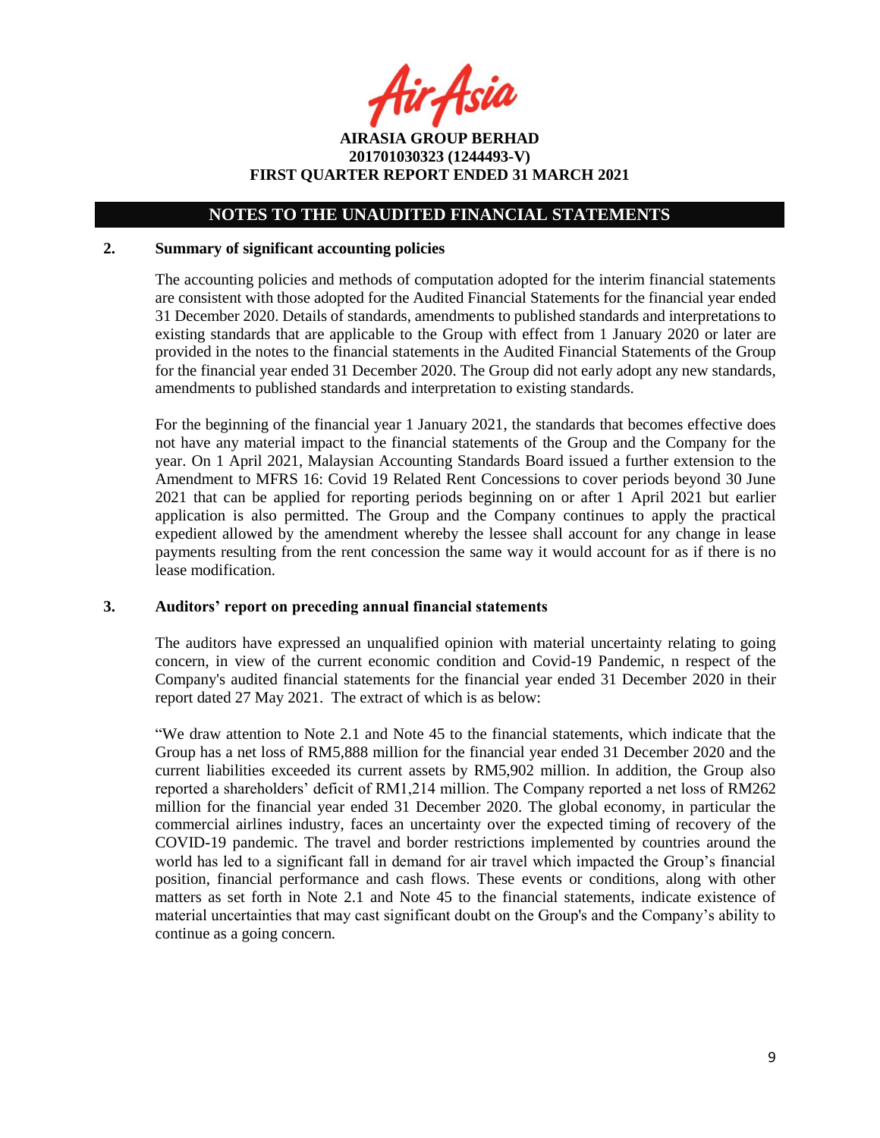fir Asia

**AIRASIA GROUP BERHAD 201701030323 (1244493-V) FIRST QUARTER REPORT ENDED 31 MARCH 2021**

### **2. Summary of significant accounting policies**

The accounting policies and methods of computation adopted for the interim financial statements are consistent with those adopted for the Audited Financial Statements for the financial year ended 31 December 2020. Details of standards, amendments to published standards and interpretations to existing standards that are applicable to the Group with effect from 1 January 2020 or later are provided in the notes to the financial statements in the Audited Financial Statements of the Group for the financial year ended 31 December 2020. The Group did not early adopt any new standards, amendments to published standards and interpretation to existing standards.

For the beginning of the financial year 1 January 2021, the standards that becomes effective does not have any material impact to the financial statements of the Group and the Company for the year. On 1 April 2021, Malaysian Accounting Standards Board issued a further extension to the Amendment to MFRS 16: Covid 19 Related Rent Concessions to cover periods beyond 30 June 2021 that can be applied for reporting periods beginning on or after 1 April 2021 but earlier application is also permitted. The Group and the Company continues to apply the practical expedient allowed by the amendment whereby the lessee shall account for any change in lease payments resulting from the rent concession the same way it would account for as if there is no lease modification.

#### **3. Auditors' report on preceding annual financial statements**

The auditors have expressed an unqualified opinion with material uncertainty relating to going concern, in view of the current economic condition and Covid-19 Pandemic, n respect of the Company's audited financial statements for the financial year ended 31 December 2020 in their report dated 27 May 2021. The extract of which is as below:

"We draw attention to Note 2.1 and Note 45 to the financial statements, which indicate that the Group has a net loss of RM5,888 million for the financial year ended 31 December 2020 and the current liabilities exceeded its current assets by RM5,902 million. In addition, the Group also reported a shareholders' deficit of RM1,214 million. The Company reported a net loss of RM262 million for the financial year ended 31 December 2020. The global economy, in particular the commercial airlines industry, faces an uncertainty over the expected timing of recovery of the COVID-19 pandemic. The travel and border restrictions implemented by countries around the world has led to a significant fall in demand for air travel which impacted the Group's financial position, financial performance and cash flows. These events or conditions, along with other matters as set forth in Note 2.1 and Note 45 to the financial statements, indicate existence of material uncertainties that may cast significant doubt on the Group's and the Company's ability to continue as a going concern.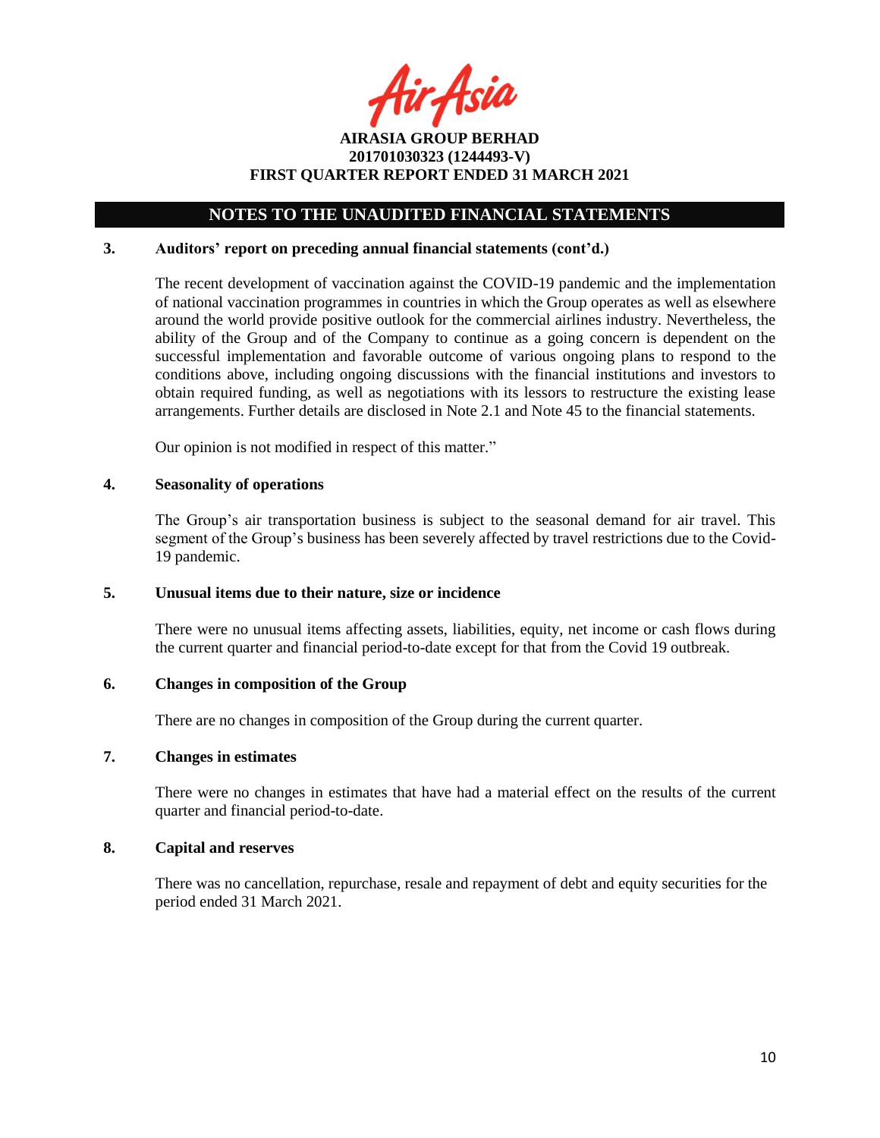ir Asia

**AIRASIA GROUP BERHAD 201701030323 (1244493-V) FIRST QUARTER REPORT ENDED 31 MARCH 2021**

#### **3. Auditors' report on preceding annual financial statements (cont'd.)**

The recent development of vaccination against the COVID-19 pandemic and the implementation of national vaccination programmes in countries in which the Group operates as well as elsewhere around the world provide positive outlook for the commercial airlines industry. Nevertheless, the ability of the Group and of the Company to continue as a going concern is dependent on the successful implementation and favorable outcome of various ongoing plans to respond to the conditions above, including ongoing discussions with the financial institutions and investors to obtain required funding, as well as negotiations with its lessors to restructure the existing lease arrangements. Further details are disclosed in Note 2.1 and Note 45 to the financial statements.

Our opinion is not modified in respect of this matter."

#### **4. Seasonality of operations**

The Group's air transportation business is subject to the seasonal demand for air travel. This segment of the Group's business has been severely affected by travel restrictions due to the Covid-19 pandemic.

#### **5. Unusual items due to their nature, size or incidence**

There were no unusual items affecting assets, liabilities, equity, net income or cash flows during the current quarter and financial period-to-date except for that from the Covid 19 outbreak.

#### **6. Changes in composition of the Group**

There are no changes in composition of the Group during the current quarter.

#### **7. Changes in estimates**

There were no changes in estimates that have had a material effect on the results of the current quarter and financial period-to-date.

#### **8. Capital and reserves**

There was no cancellation, repurchase, resale and repayment of debt and equity securities for the period ended 31 March 2021.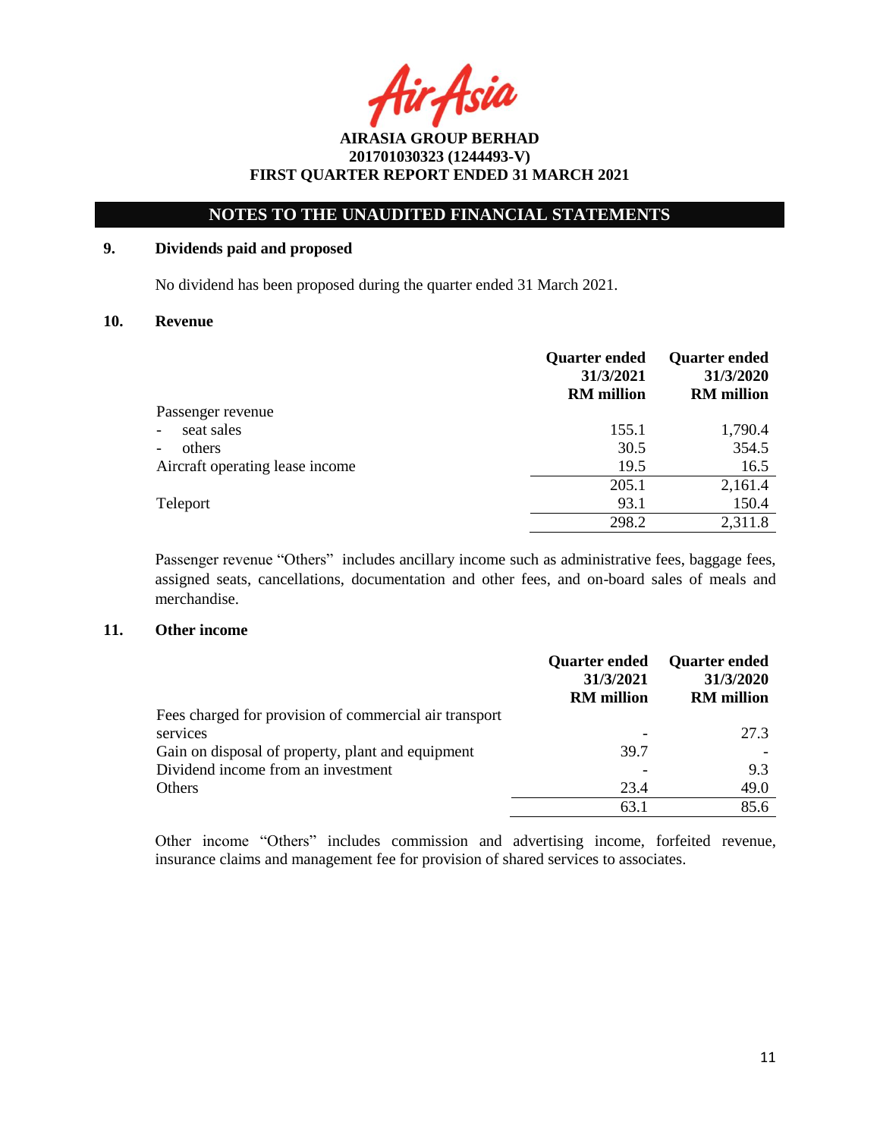Asia

## **NOTES TO THE UNAUDITED FINANCIAL STATEMENTS**

## **9. Dividends paid and proposed**

No dividend has been proposed during the quarter ended 31 March 2021.

#### **10. Revenue**

|                                        | <b>Quarter ended</b><br>31/3/2021<br><b>RM</b> million | <b>Quarter ended</b><br>31/3/2020<br><b>RM</b> million |
|----------------------------------------|--------------------------------------------------------|--------------------------------------------------------|
| Passenger revenue                      |                                                        |                                                        |
| seat sales<br>$\overline{\phantom{0}}$ | 155.1                                                  | 1,790.4                                                |
| others<br>-                            | 30.5                                                   | 354.5                                                  |
| Aircraft operating lease income        | 19.5                                                   | 16.5                                                   |
|                                        | 205.1                                                  | 2,161.4                                                |
| Teleport                               | 93.1                                                   | 150.4                                                  |
|                                        | 298.2                                                  | 2,311.8                                                |

Passenger revenue "Others" includes ancillary income such as administrative fees, baggage fees, assigned seats, cancellations, documentation and other fees, and on-board sales of meals and merchandise.

#### **11. Other income**

|                                                        | <b>Quarter ended</b><br>31/3/2021<br><b>RM</b> million | <b>Quarter ended</b><br>31/3/2020<br><b>RM</b> million |
|--------------------------------------------------------|--------------------------------------------------------|--------------------------------------------------------|
| Fees charged for provision of commercial air transport |                                                        |                                                        |
| services                                               |                                                        | 27.3                                                   |
| Gain on disposal of property, plant and equipment      | 39.7                                                   |                                                        |
| Dividend income from an investment                     |                                                        | 9.3                                                    |
| <b>Others</b>                                          | 23.4                                                   | 49.0                                                   |
|                                                        | 63.7                                                   | 85.6                                                   |

Other income "Others" includes commission and advertising income, forfeited revenue, insurance claims and management fee for provision of shared services to associates.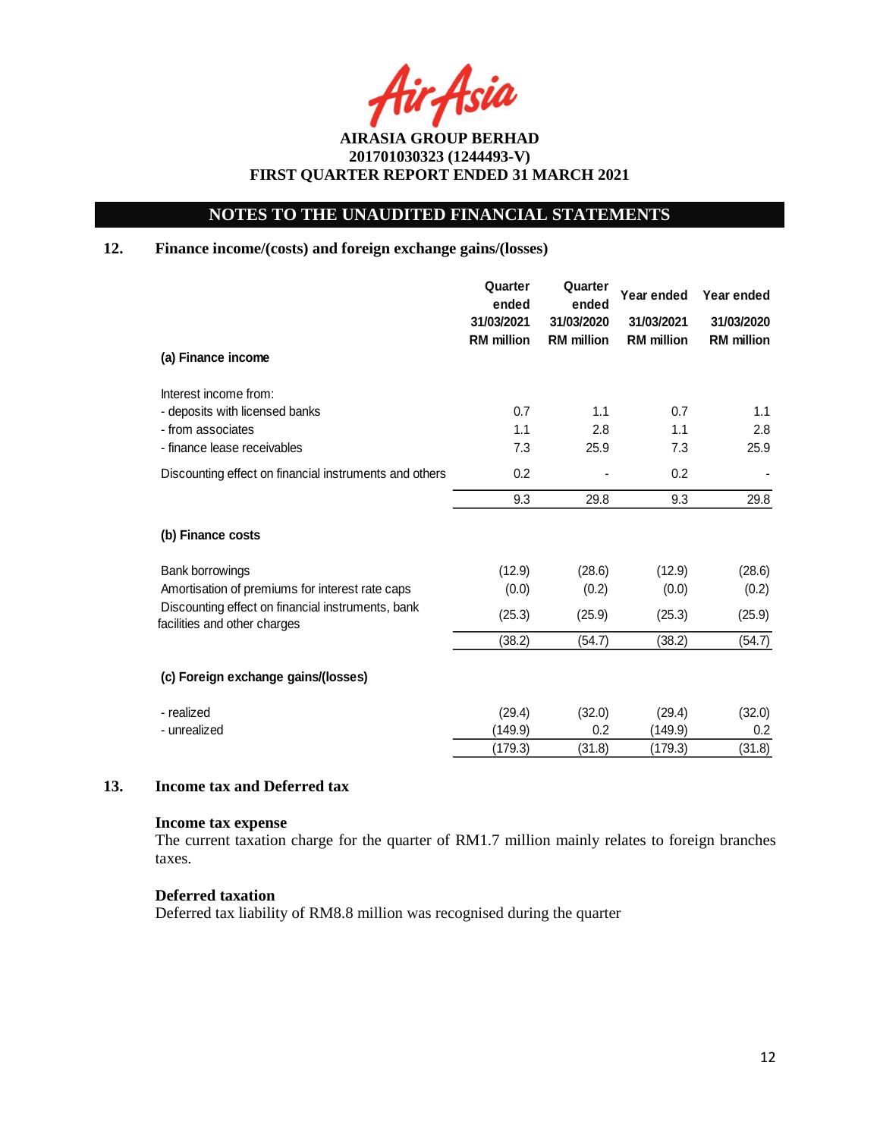Asia

## **NOTES TO THE UNAUDITED FINANCIAL STATEMENTS**

## **12. Finance income/(costs) and foreign exchange gains/(losses)**

|                                                                                   | Quarter<br>ended                | Quarter<br>Year ended<br>ended  |                                 | Year ended                      |
|-----------------------------------------------------------------------------------|---------------------------------|---------------------------------|---------------------------------|---------------------------------|
|                                                                                   | 31/03/2021<br><b>RM</b> million | 31/03/2020<br><b>RM</b> million | 31/03/2021<br><b>RM</b> million | 31/03/2020<br><b>RM</b> million |
| (a) Finance income                                                                |                                 |                                 |                                 |                                 |
| Interest income from:                                                             |                                 |                                 |                                 |                                 |
| - deposits with licensed banks                                                    | 0.7                             | 1.1                             | 0.7                             | 1.1                             |
| - from associates                                                                 | 1.1                             | 2.8                             | 1.1                             | 2.8                             |
| - finance lease receivables                                                       | 7.3                             | 25.9                            | 7.3                             | 25.9                            |
| Discounting effect on financial instruments and others                            | 0.2                             |                                 | 0.2                             |                                 |
|                                                                                   | 9.3                             | 29.8                            | 9.3                             | 29.8                            |
| (b) Finance costs                                                                 |                                 |                                 |                                 |                                 |
| <b>Bank borrowings</b>                                                            | (12.9)                          | (28.6)                          | (12.9)                          | (28.6)                          |
| Amortisation of premiums for interest rate caps                                   | (0.0)                           | (0.2)                           | (0.0)                           | (0.2)                           |
| Discounting effect on financial instruments, bank<br>facilities and other charges | (25.3)                          | (25.9)                          | (25.3)                          | (25.9)                          |
|                                                                                   | (38.2)                          | (54.7)                          | (38.2)                          | (54.7)                          |
| (c) Foreign exchange gains/(losses)                                               |                                 |                                 |                                 |                                 |
| - realized                                                                        | (29.4)                          | (32.0)                          | (29.4)                          | (32.0)                          |
| - unrealized                                                                      | (149.9)                         | 0.2                             | (149.9)                         | 0.2                             |
|                                                                                   | (179.3)                         | (31.8)                          | (179.3)                         | (31.8)                          |

### **13. Income tax and Deferred tax**

### **Income tax expense**

The current taxation charge for the quarter of RM1.7 million mainly relates to foreign branches taxes.

## **Deferred taxation**

Deferred tax liability of RM8.8 million was recognised during the quarter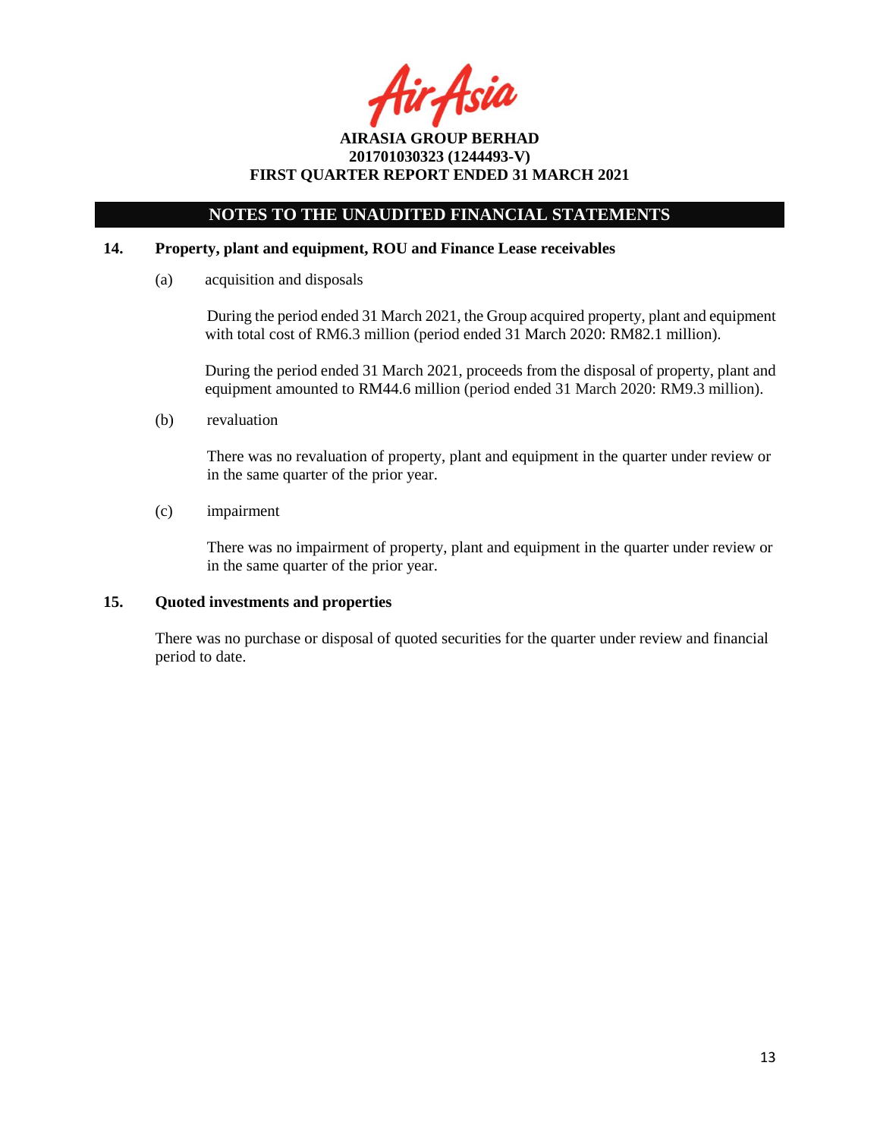Asia

## **NOTES TO THE UNAUDITED FINANCIAL STATEMENTS**

### **14. Property, plant and equipment, ROU and Finance Lease receivables**

(a) acquisition and disposals

During the period ended 31 March 2021, the Group acquired property, plant and equipment with total cost of RM6.3 million (period ended 31 March 2020: RM82.1 million).

During the period ended 31 March 2021, proceeds from the disposal of property, plant and equipment amounted to RM44.6 million (period ended 31 March 2020: RM9.3 million).

(b) revaluation

There was no revaluation of property, plant and equipment in the quarter under review or in the same quarter of the prior year.

(c) impairment

There was no impairment of property, plant and equipment in the quarter under review or in the same quarter of the prior year.

## **15. Quoted investments and properties**

There was no purchase or disposal of quoted securities for the quarter under review and financial period to date.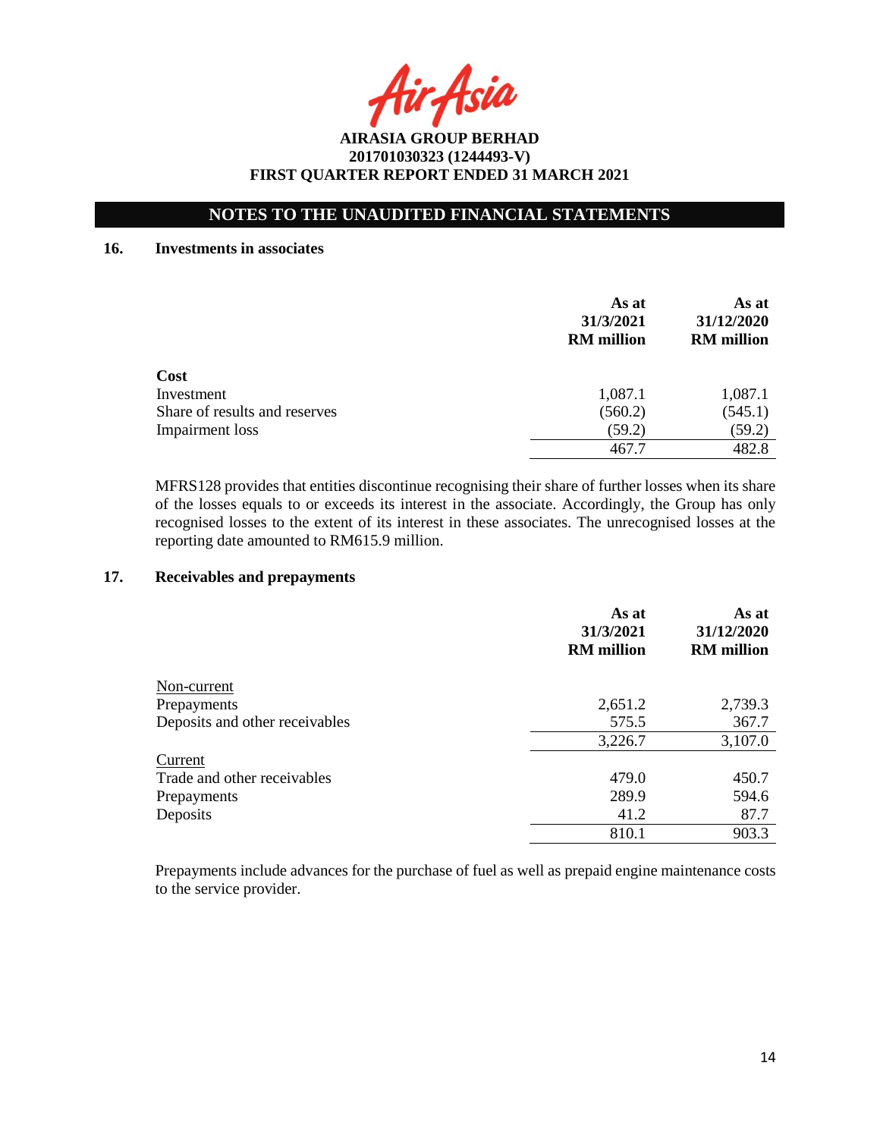Asia

## **NOTES TO THE UNAUDITED FINANCIAL STATEMENTS**

#### **16. Investments in associates**

|                               | As at<br>31/3/2021<br><b>RM</b> million | As at<br>31/12/2020<br><b>RM</b> million |
|-------------------------------|-----------------------------------------|------------------------------------------|
| Cost                          |                                         |                                          |
| Investment                    | 1,087.1                                 | 1,087.1                                  |
| Share of results and reserves | (560.2)                                 | (545.1)                                  |
| Impairment loss               | (59.2)                                  | (59.2)                                   |
|                               | 467.7                                   | 482.8                                    |

MFRS128 provides that entities discontinue recognising their share of further losses when its share of the losses equals to or exceeds its interest in the associate. Accordingly, the Group has only recognised losses to the extent of its interest in these associates. The unrecognised losses at the reporting date amounted to RM615.9 million.

### **17. Receivables and prepayments**

|                                | As at<br>31/3/2021<br><b>RM</b> million | As at<br>31/12/2020<br><b>RM</b> million |
|--------------------------------|-----------------------------------------|------------------------------------------|
| Non-current                    |                                         |                                          |
| Prepayments                    | 2,651.2                                 | 2,739.3                                  |
| Deposits and other receivables | 575.5                                   | 367.7                                    |
|                                | 3,226.7                                 | 3,107.0                                  |
| Current                        |                                         |                                          |
| Trade and other receivables    | 479.0                                   | 450.7                                    |
| Prepayments                    | 289.9                                   | 594.6                                    |
| Deposits                       | 41.2                                    | 87.7                                     |
|                                | 810.1                                   | 903.3                                    |

Prepayments include advances for the purchase of fuel as well as prepaid engine maintenance costs to the service provider.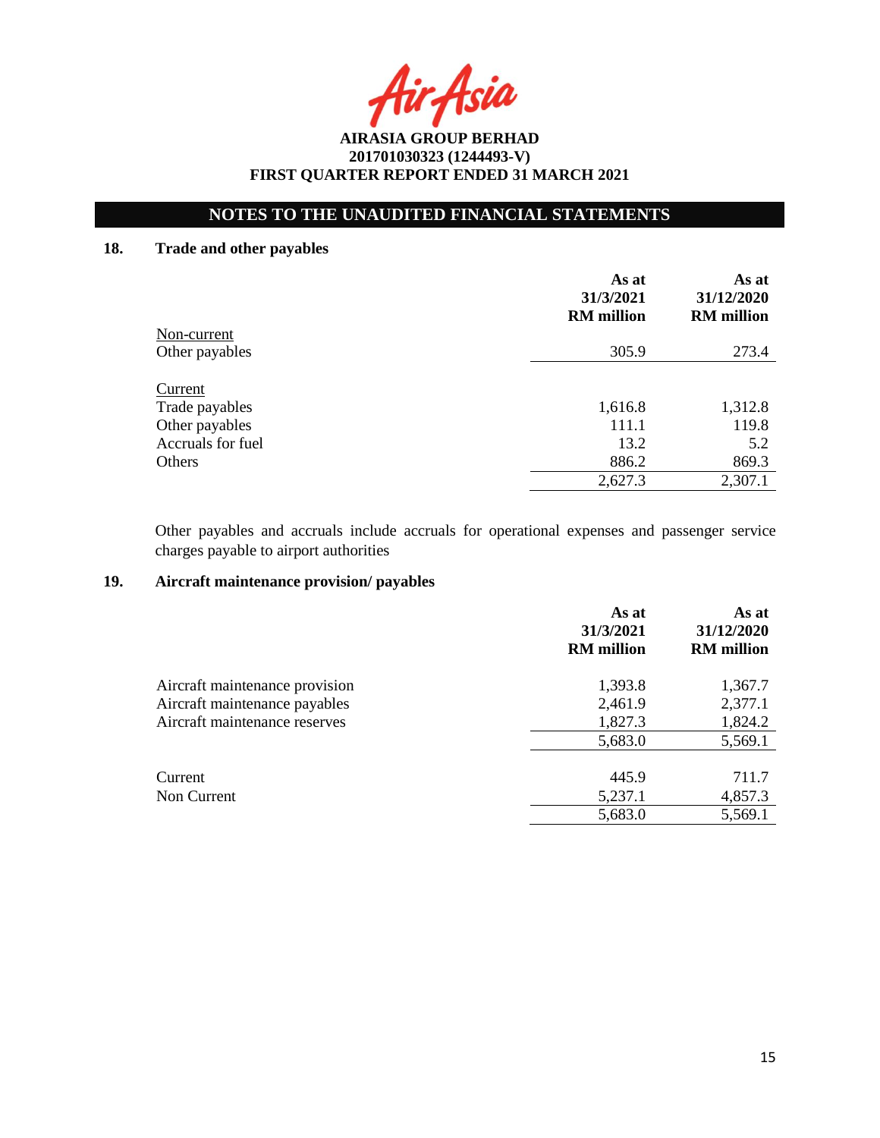Asia

## **NOTES TO THE UNAUDITED FINANCIAL STATEMENTS**

## **18. Trade and other payables**

|                           | As at<br>31/3/2021<br><b>RM</b> million | As at<br>31/12/2020<br><b>RM</b> million |
|---------------------------|-----------------------------------------|------------------------------------------|
| Non-current               |                                         |                                          |
| Other payables            | 305.9                                   | 273.4                                    |
| Current<br>Trade payables | 1,616.8                                 | 1,312.8                                  |
| Other payables            | 111.1                                   | 119.8                                    |
| Accruals for fuel         | 13.2                                    | 5.2                                      |
| Others                    | 886.2                                   | 869.3                                    |
|                           | 2,627.3                                 | 2,307.1                                  |

Other payables and accruals include accruals for operational expenses and passenger service charges payable to airport authorities

## **19. Aircraft maintenance provision/ payables**

|                                | As at<br>31/3/2021<br><b>RM</b> million | As at<br>31/12/2020<br><b>RM</b> million |
|--------------------------------|-----------------------------------------|------------------------------------------|
| Aircraft maintenance provision | 1,393.8                                 | 1,367.7                                  |
| Aircraft maintenance payables  | 2,461.9                                 | 2,377.1                                  |
| Aircraft maintenance reserves  | 1,827.3                                 | 1,824.2                                  |
|                                | 5,683.0                                 | 5,569.1                                  |
| Current                        | 445.9                                   | 711.7                                    |
| Non Current                    | 5,237.1                                 | 4,857.3                                  |
|                                | 5,683.0                                 | 5,569.1                                  |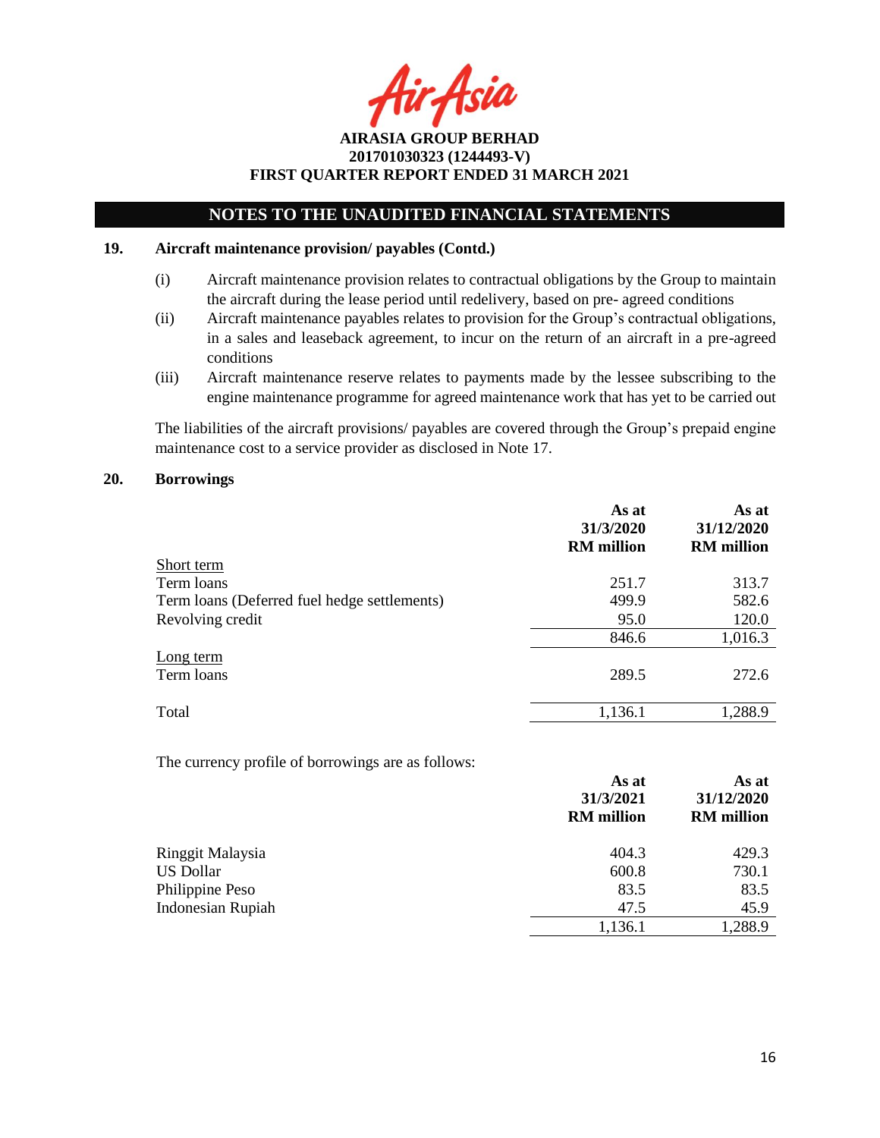Asia

## **NOTES TO THE UNAUDITED FINANCIAL STATEMENTS**

### **19. Aircraft maintenance provision/ payables (Contd.)**

- (i) Aircraft maintenance provision relates to contractual obligations by the Group to maintain the aircraft during the lease period until redelivery, based on pre- agreed conditions
- (ii) Aircraft maintenance payables relates to provision for the Group's contractual obligations, in a sales and leaseback agreement, to incur on the return of an aircraft in a pre-agreed conditions
- (iii) Aircraft maintenance reserve relates to payments made by the lessee subscribing to the engine maintenance programme for agreed maintenance work that has yet to be carried out

The liabilities of the aircraft provisions/ payables are covered through the Group's prepaid engine maintenance cost to a service provider as disclosed in Note 17.

#### **20. Borrowings**

|                                              | As at<br>31/3/2020<br><b>RM</b> million | As at<br>31/12/2020<br><b>RM</b> million |
|----------------------------------------------|-----------------------------------------|------------------------------------------|
| Short term                                   |                                         |                                          |
| Term loans                                   | 251.7                                   | 313.7                                    |
| Term loans (Deferred fuel hedge settlements) | 499.9                                   | 582.6                                    |
| Revolving credit                             | 95.0                                    | 120.0                                    |
|                                              | 846.6                                   | 1,016.3                                  |
| Long term<br>Term loans                      | 289.5                                   | 272.6                                    |
| Total                                        | 1,136.1                                 | 1,288.9                                  |

The currency profile of borrowings are as follows:

|                   | As at<br>31/3/2021<br><b>RM</b> million | As at<br>31/12/2020<br><b>RM</b> million |
|-------------------|-----------------------------------------|------------------------------------------|
| Ringgit Malaysia  | 404.3                                   | 429.3                                    |
| <b>US Dollar</b>  | 600.8                                   | 730.1                                    |
| Philippine Peso   | 83.5                                    | 83.5                                     |
| Indonesian Rupiah | 47.5                                    | 45.9                                     |
|                   | 1,136.1                                 | 1,288.9                                  |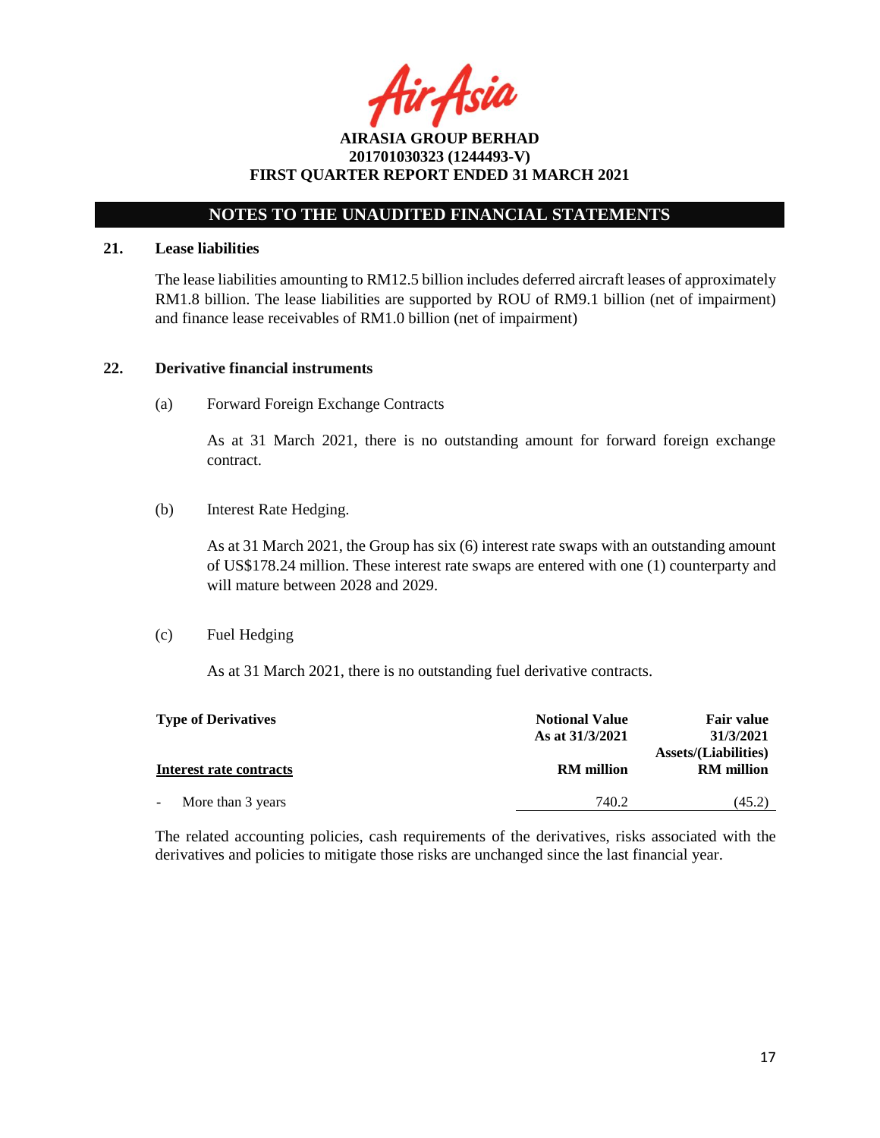r Asia

## **NOTES TO THE UNAUDITED FINANCIAL STATEMENTS**

### **21. Lease liabilities**

The lease liabilities amounting to RM12.5 billion includes deferred aircraft leases of approximately RM1.8 billion. The lease liabilities are supported by ROU of RM9.1 billion (net of impairment) and finance lease receivables of RM1.0 billion (net of impairment)

### **22. Derivative financial instruments**

(a) Forward Foreign Exchange Contracts

As at 31 March 2021, there is no outstanding amount for forward foreign exchange contract.

(b) Interest Rate Hedging.

As at 31 March 2021, the Group has six (6) interest rate swaps with an outstanding amount of US\$178.24 million. These interest rate swaps are entered with one (1) counterparty and will mature between 2028 and 2029.

#### (c) Fuel Hedging

As at 31 March 2021, there is no outstanding fuel derivative contracts.

| <b>Type of Derivatives</b> | <b>Notional Value</b><br>As at 31/3/2021 | <b>Fair value</b><br>31/3/2021                   |  |  |
|----------------------------|------------------------------------------|--------------------------------------------------|--|--|
| Interest rate contracts    | <b>RM</b> million                        | <b>Assets/(Liabilities)</b><br><b>RM</b> million |  |  |
| More than 3 years          | 740.2                                    | (45.2)                                           |  |  |

The related accounting policies, cash requirements of the derivatives, risks associated with the derivatives and policies to mitigate those risks are unchanged since the last financial year.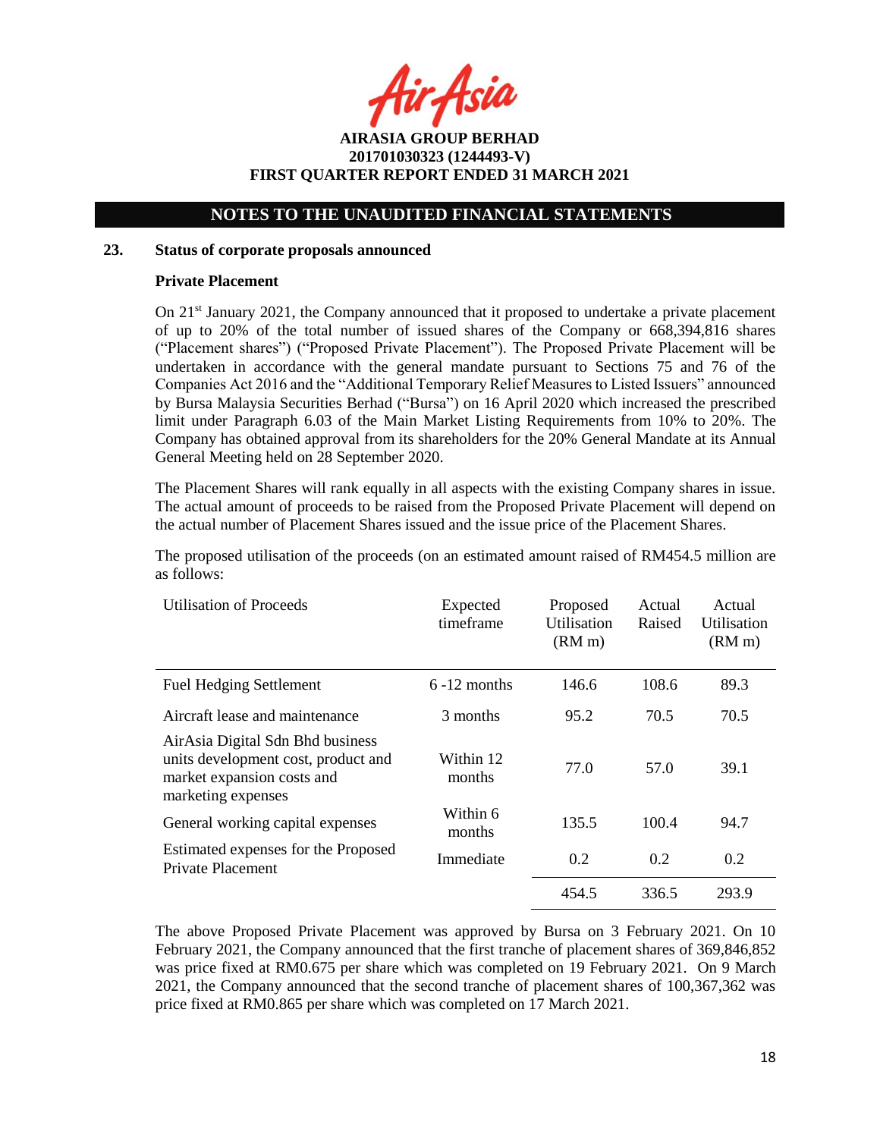r Asia

## **NOTES TO THE UNAUDITED FINANCIAL STATEMENTS**

### **23. Status of corporate proposals announced**

### **Private Placement**

On  $21<sup>st</sup>$  January 2021, the Company announced that it proposed to undertake a private placement of up to 20% of the total number of issued shares of the Company or 668,394,816 shares ("Placement shares") ("Proposed Private Placement"). The Proposed Private Placement will be undertaken in accordance with the general mandate pursuant to Sections 75 and 76 of the Companies Act 2016 and the "Additional Temporary Relief Measures to Listed Issuers" announced by Bursa Malaysia Securities Berhad ("Bursa") on 16 April 2020 which increased the prescribed limit under Paragraph 6.03 of the Main Market Listing Requirements from 10% to 20%. The Company has obtained approval from its shareholders for the 20% General Mandate at its Annual General Meeting held on 28 September 2020.

The Placement Shares will rank equally in all aspects with the existing Company shares in issue. The actual amount of proceeds to be raised from the Proposed Private Placement will depend on the actual number of Placement Shares issued and the issue price of the Placement Shares.

The proposed utilisation of the proceeds (on an estimated amount raised of RM454.5 million are as follows:

| <b>Utilisation of Proceeds</b>                                                                                              | Expected<br>timeframe | Proposed<br>Utilisation<br>(RM <sub>m</sub> ) | Actual<br>Raised | Actual<br>Utilisation<br>(RM <sub>m</sub> ) |
|-----------------------------------------------------------------------------------------------------------------------------|-----------------------|-----------------------------------------------|------------------|---------------------------------------------|
| <b>Fuel Hedging Settlement</b>                                                                                              | $6 - 12$ months       | 146.6                                         | 108.6            | 89.3                                        |
| Aircraft lease and maintenance                                                                                              | 3 months              | 95.2                                          | 70.5             | 70.5                                        |
| AirAsia Digital Sdn Bhd business<br>units development cost, product and<br>market expansion costs and<br>marketing expenses | Within 12<br>months   | 77.0                                          | 57.0             | 39.1                                        |
| General working capital expenses                                                                                            | Within 6<br>months    | 135.5                                         | 100.4            | 94.7                                        |
| Estimated expenses for the Proposed<br><b>Private Placement</b>                                                             | Immediate             | 0.2                                           | 0.2              | 0.2                                         |
|                                                                                                                             |                       | 454.5                                         | 336.5            | 293.9                                       |

The above Proposed Private Placement was approved by Bursa on 3 February 2021. On 10 February 2021, the Company announced that the first tranche of placement shares of 369,846,852 was price fixed at RM0.675 per share which was completed on 19 February 2021. On 9 March 2021, the Company announced that the second tranche of placement shares of 100,367,362 was price fixed at RM0.865 per share which was completed on 17 March 2021.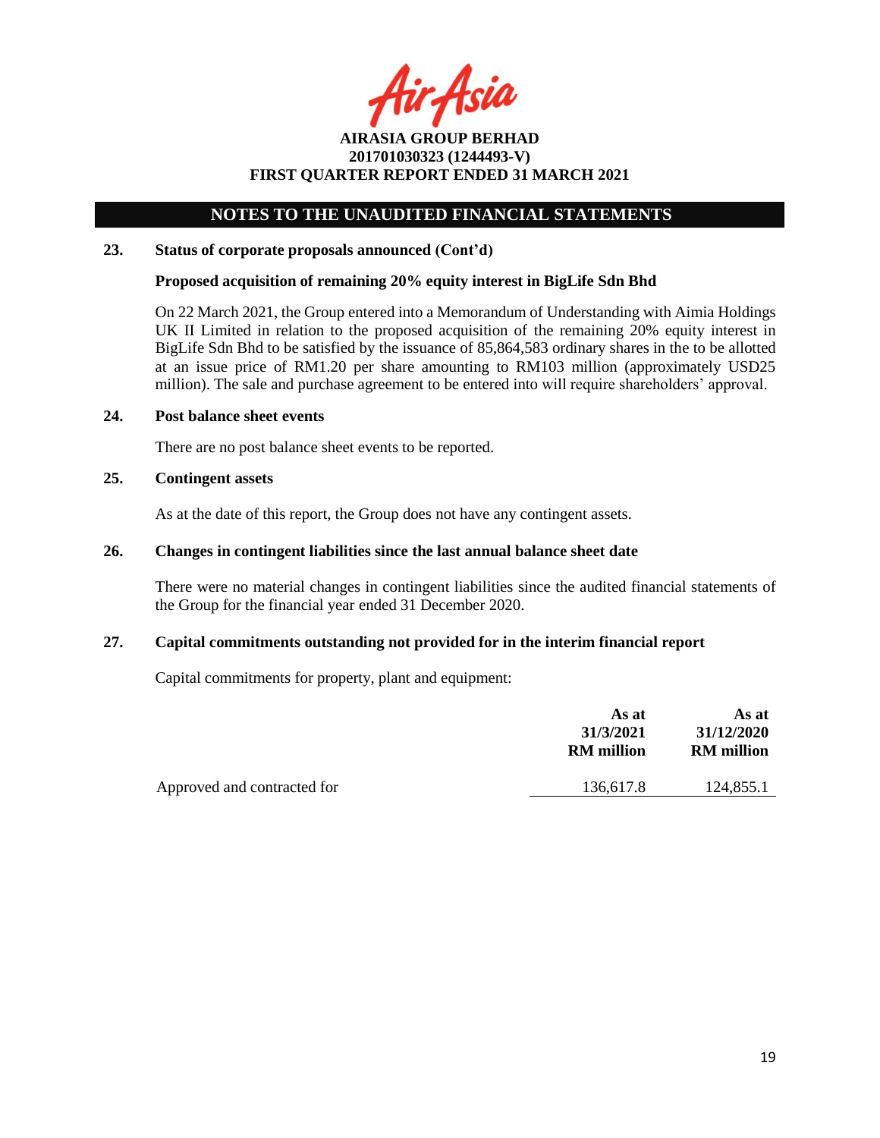r Asia

## **NOTES TO THE UNAUDITED FINANCIAL STATEMENTS**

### **23. Status of corporate proposals announced (Cont'd)**

### **Proposed acquisition of remaining 20% equity interest in BigLife Sdn Bhd**

On 22 March 2021, the Group entered into a Memorandum of Understanding with Aimia Holdings UK II Limited in relation to the proposed acquisition of the remaining 20% equity interest in BigLife Sdn Bhd to be satisfied by the issuance of 85,864,583 ordinary shares in the to be allotted at an issue price of RM1.20 per share amounting to RM103 million (approximately USD25 million). The sale and purchase agreement to be entered into will require shareholders' approval.

#### **24. Post balance sheet events**

There are no post balance sheet events to be reported.

### **25. Contingent assets**

As at the date of this report, the Group does not have any contingent assets.

### **26. Changes in contingent liabilities since the last annual balance sheet date**

There were no material changes in contingent liabilities since the audited financial statements of the Group for the financial year ended 31 December 2020.

### **27. Capital commitments outstanding not provided for in the interim financial report**

Capital commitments for property, plant and equipment:

|                             | As at<br>31/3/2021<br><b>RM</b> million | As at<br>31/12/2020<br><b>RM</b> million |  |
|-----------------------------|-----------------------------------------|------------------------------------------|--|
| Approved and contracted for | 136.617.8                               | 124,855.1                                |  |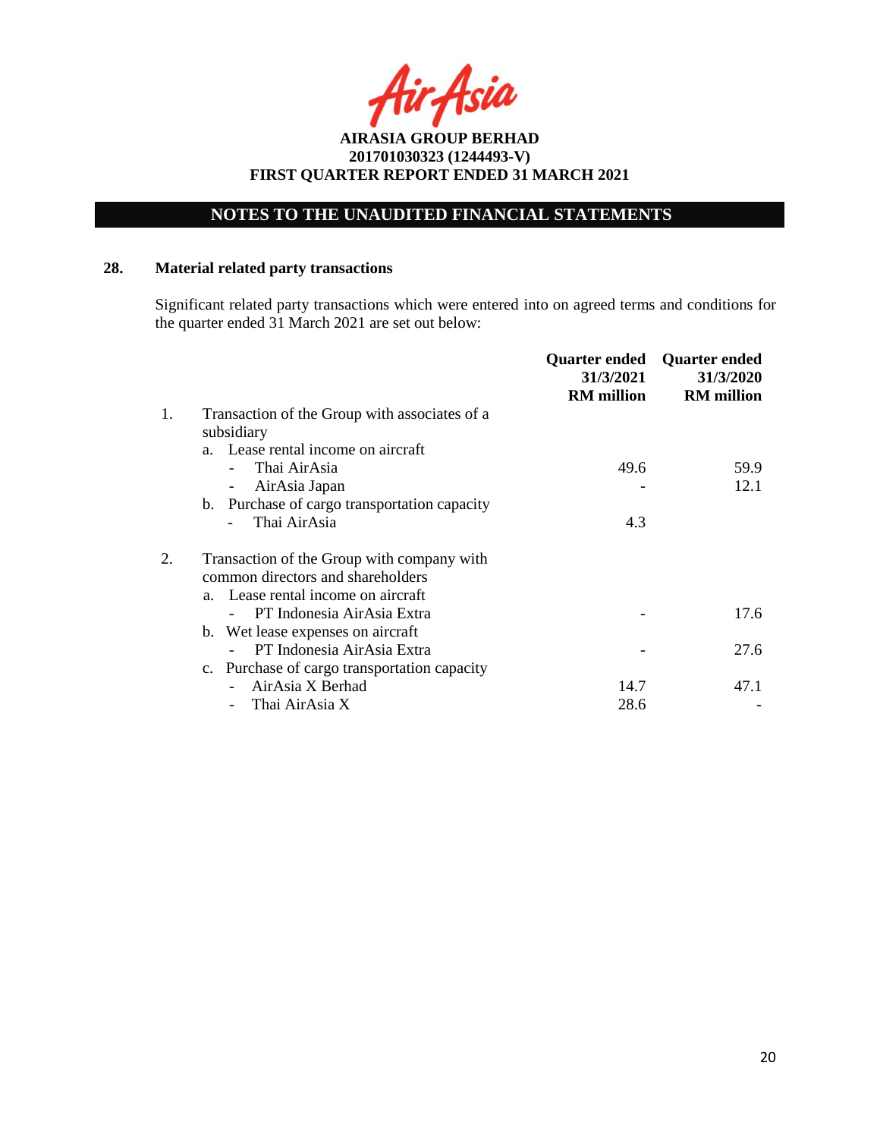## **NOTES TO THE UNAUDITED FINANCIAL STATEMENTS**

## **28. Material related party transactions**

Significant related party transactions which were entered into on agreed terms and conditions for the quarter ended 31 March 2021 are set out below:

|    |                                               | Quarter ended<br>31/3/2021<br><b>RM</b> million | <b>Quarter ended</b><br>31/3/2020<br><b>RM</b> million |
|----|-----------------------------------------------|-------------------------------------------------|--------------------------------------------------------|
| 1. | Transaction of the Group with associates of a |                                                 |                                                        |
|    | subsidiary                                    |                                                 |                                                        |
|    | a. Lease rental income on aircraft            |                                                 |                                                        |
|    | Thai AirAsia                                  | 49.6                                            | 59.9                                                   |
|    | AirAsia Japan<br>-                            |                                                 | 12.1                                                   |
|    | b. Purchase of cargo transportation capacity  |                                                 |                                                        |
|    | Thai AirAsia                                  | 4.3                                             |                                                        |
|    | Transaction of the Group with company with    |                                                 |                                                        |
|    | common directors and shareholders             |                                                 |                                                        |
|    | a. Lease rental income on aircraft            |                                                 |                                                        |
|    | PT Indonesia AirAsia Extra                    |                                                 | 17.6                                                   |
|    | b. Wet lease expenses on aircraft             |                                                 |                                                        |
|    | PT Indonesia AirAsia Extra                    |                                                 | 27.6                                                   |
|    | c. Purchase of cargo transportation capacity  |                                                 |                                                        |
|    | AirAsia X Berhad                              | 14.7                                            | 47.1                                                   |
|    | Thai AirAsia X                                | 28.6                                            |                                                        |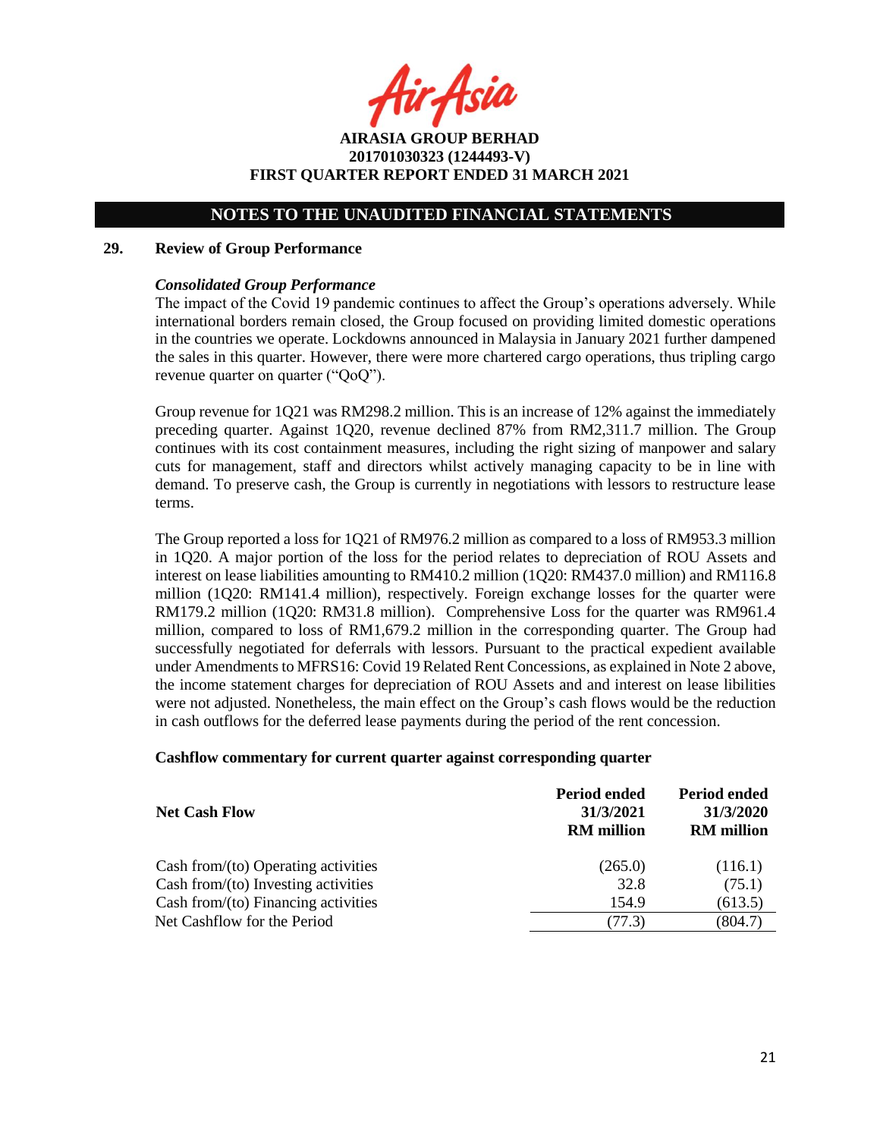ir Asia

**AIRASIA GROUP BERHAD 201701030323 (1244493-V) FIRST QUARTER REPORT ENDED 31 MARCH 2021**

#### **29. Review of Group Performance**

#### *Consolidated Group Performance*

The impact of the Covid 19 pandemic continues to affect the Group's operations adversely. While international borders remain closed, the Group focused on providing limited domestic operations in the countries we operate. Lockdowns announced in Malaysia in January 2021 further dampened the sales in this quarter. However, there were more chartered cargo operations, thus tripling cargo revenue quarter on quarter ("QoQ").

Group revenue for 1Q21 was RM298.2 million. This is an increase of 12% against the immediately preceding quarter. Against 1Q20, revenue declined 87% from RM2,311.7 million. The Group continues with its cost containment measures, including the right sizing of manpower and salary cuts for management, staff and directors whilst actively managing capacity to be in line with demand. To preserve cash, the Group is currently in negotiations with lessors to restructure lease terms.

The Group reported a loss for 1Q21 of RM976.2 million as compared to a loss of RM953.3 million in 1Q20. A major portion of the loss for the period relates to depreciation of ROU Assets and interest on lease liabilities amounting to RM410.2 million (1Q20: RM437.0 million) and RM116.8 million (1Q20: RM141.4 million), respectively. Foreign exchange losses for the quarter were RM179.2 million (1Q20: RM31.8 million). Comprehensive Loss for the quarter was RM961.4 million, compared to loss of RM1,679.2 million in the corresponding quarter. The Group had successfully negotiated for deferrals with lessors. Pursuant to the practical expedient available under Amendments to MFRS16: Covid 19 Related Rent Concessions, as explained in Note 2 above, the income statement charges for depreciation of ROU Assets and and interest on lease libilities were not adjusted. Nonetheless, the main effect on the Group's cash flows would be the reduction in cash outflows for the deferred lease payments during the period of the rent concession.

### **Cashflow commentary for current quarter against corresponding quarter**

| <b>Net Cash Flow</b>                   | 31/3/2021<br><b>RM</b> million | 31/3/2020<br><b>RM</b> million |
|----------------------------------------|--------------------------------|--------------------------------|
| Cash from/ $(to)$ Operating activities | (265.0)                        | (116.1)                        |
| Cash from/(to) Investing activities    | 32.8                           | (75.1)                         |
| Cash from/(to) Financing activities    | 154.9                          | (613.5)                        |
| Net Cashflow for the Period            | .77.3)                         | (804.7)                        |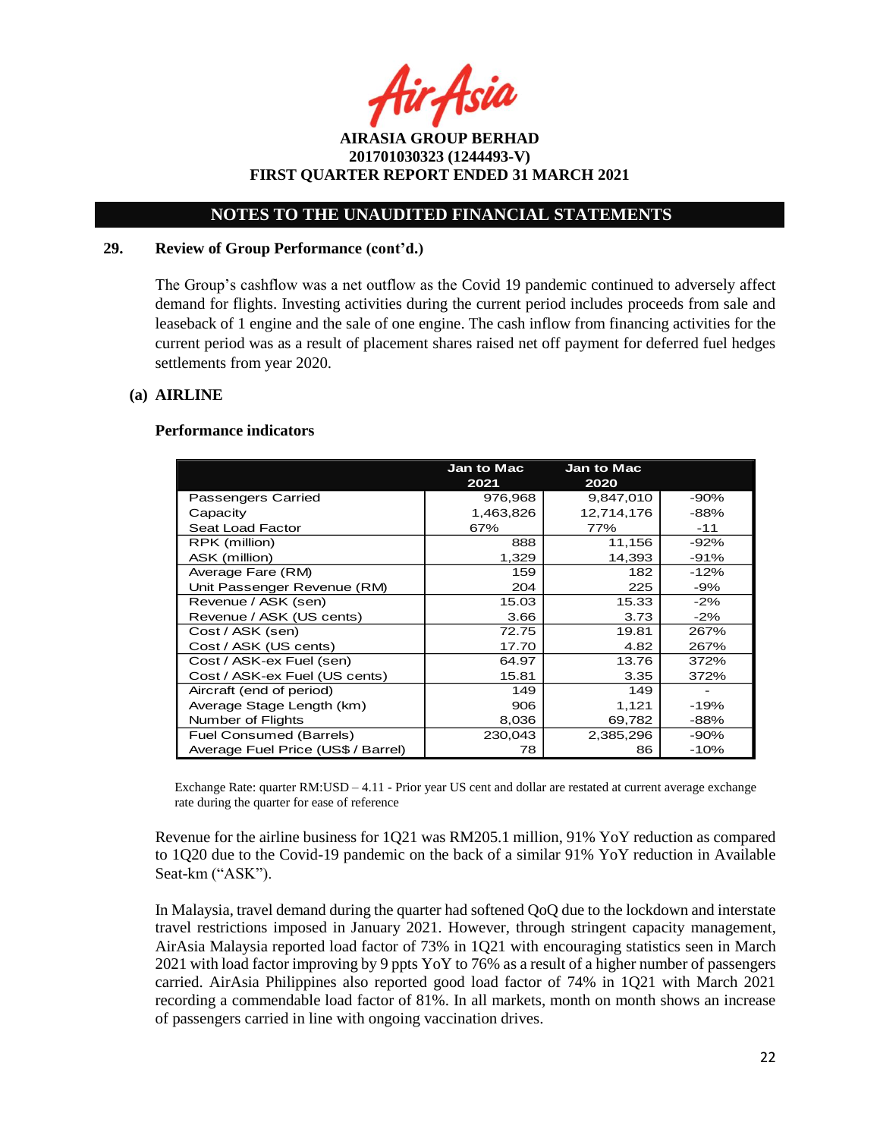r Asia

**AIRASIA GROUP BERHAD 201701030323 (1244493-V) FIRST QUARTER REPORT ENDED 31 MARCH 2021**

### **29. Review of Group Performance (cont'd.)**

The Group's cashflow was a net outflow as the Covid 19 pandemic continued to adversely affect demand for flights. Investing activities during the current period includes proceeds from sale and leaseback of 1 engine and the sale of one engine. The cash inflow from financing activities for the current period was as a result of placement shares raised net off payment for deferred fuel hedges settlements from year 2020.

### **(a) AIRLINE**

#### **Performance indicators**

|                                    | <b>Jan to Mac</b><br>2021 | <b>Jan to Mac</b><br>2020 |        |
|------------------------------------|---------------------------|---------------------------|--------|
| Passengers Carried                 | 976,968                   | 9,847,010                 | $-90%$ |
| Capacity                           | 1,463,826                 | 12,714,176                | $-88%$ |
| Seat Load Factor                   | 67%                       | 77%                       | $-11$  |
| RPK (million)                      | 888                       | 11,156                    | $-92%$ |
| ASK (million)                      | 1,329                     | 14,393                    | -91%   |
| Average Fare (RM)                  | 159                       | 182                       | $-12%$ |
| Unit Passenger Revenue (RM)        | 204                       | 225                       | $-9%$  |
| Revenue / ASK (sen)                | 15.03                     | 15.33                     | $-2%$  |
| Revenue / ASK (US cents)           | 3.66                      | 3.73                      | $-2%$  |
| Cost / ASK (sen)                   | 72.75                     | 19.81                     | 267%   |
| Cost / ASK (US cents)              | 17.70                     | 4.82                      | 267%   |
| Cost / ASK-ex Fuel (sen)           | 64.97                     | 13.76                     | 372%   |
| Cost / ASK-ex Fuel (US cents)      | 15.81                     | 3.35                      | 372%   |
| Aircraft (end of period)           | 149                       | 149                       |        |
| Average Stage Length (km)          | 906                       | 1,121                     | -19%   |
| Number of Flights                  | 8,036                     | 69,782                    | -88%   |
| Fuel Consumed (Barrels)            | 230,043                   | 2,385,296                 | $-90%$ |
| Average Fuel Price (US\$ / Barrel) | 78                        | 86                        | $-10%$ |

Exchange Rate: quarter RM:USD – 4.11 - Prior year US cent and dollar are restated at current average exchange rate during the quarter for ease of reference

Revenue for the airline business for 1Q21 was RM205.1 million, 91% YoY reduction as compared to 1Q20 due to the Covid-19 pandemic on the back of a similar 91% YoY reduction in Available Seat-km ("ASK").

In Malaysia, travel demand during the quarter had softened QoQ due to the lockdown and interstate travel restrictions imposed in January 2021. However, through stringent capacity management, AirAsia Malaysia reported load factor of 73% in 1Q21 with encouraging statistics seen in March 2021 with load factor improving by 9 ppts YoY to 76% as a result of a higher number of passengers carried. AirAsia Philippines also reported good load factor of 74% in 1Q21 with March 2021 recording a commendable load factor of 81%. In all markets, month on month shows an increase of passengers carried in line with ongoing vaccination drives.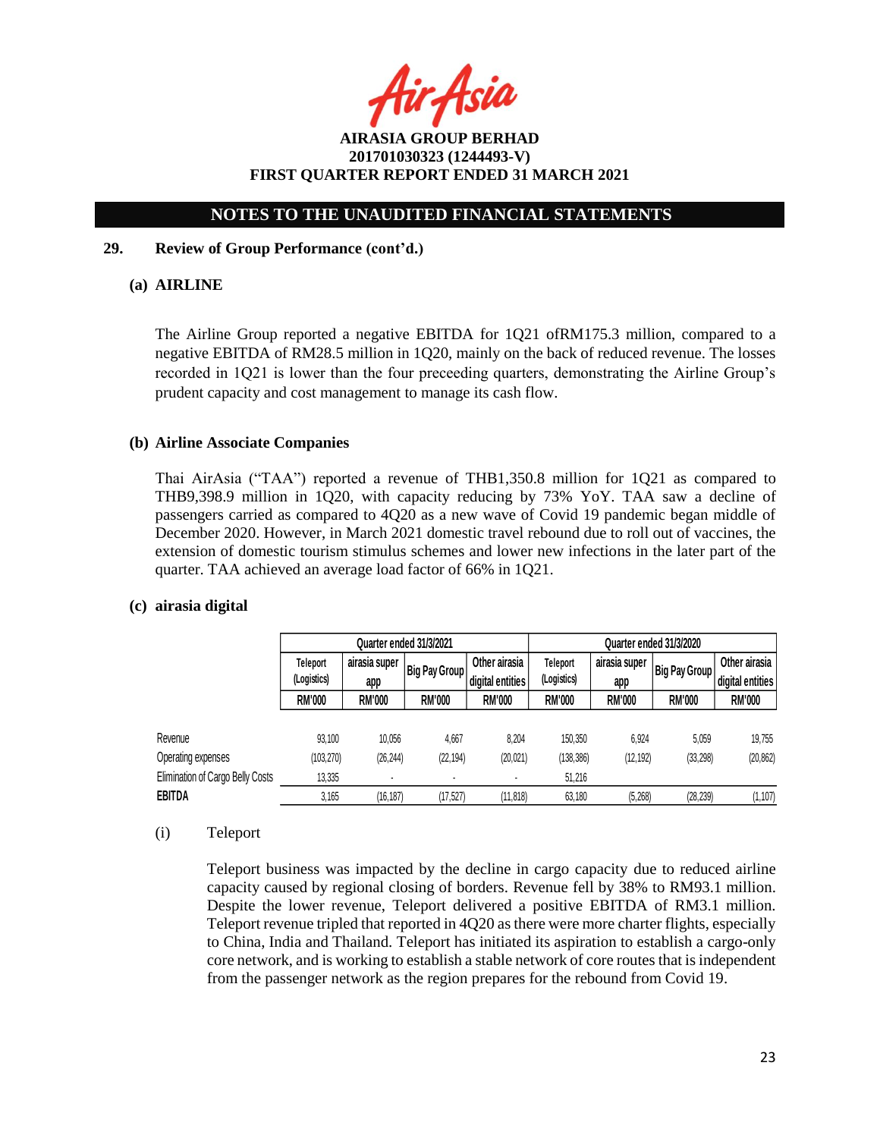ir Asia

## **NOTES TO THE UNAUDITED FINANCIAL STATEMENTS**

### **29. Review of Group Performance (cont'd.)**

### **(a) AIRLINE**

The Airline Group reported a negative EBITDA for 1Q21 ofRM175.3 million, compared to a negative EBITDA of RM28.5 million in 1Q20, mainly on the back of reduced revenue. The losses recorded in 1Q21 is lower than the four preceeding quarters, demonstrating the Airline Group's prudent capacity and cost management to manage its cash flow.

### **(b) Airline Associate Companies**

Thai AirAsia ("TAA") reported a revenue of THB1,350.8 million for 1Q21 as compared to THB9,398.9 million in 1Q20, with capacity reducing by 73% YoY. TAA saw a decline of passengers carried as compared to 4Q20 as a new wave of Covid 19 pandemic began middle of December 2020. However, in March 2021 domestic travel rebound due to roll out of vaccines, the extension of domestic tourism stimulus schemes and lower new infections in the later part of the quarter. TAA achieved an average load factor of 66% in 1Q21.

### **(c) airasia digital**

|                                  | Quarter ended 31/3/2021                    |               |                                  |                                       | Quarter ended 31/3/2020 |               |               |                  |
|----------------------------------|--------------------------------------------|---------------|----------------------------------|---------------------------------------|-------------------------|---------------|---------------|------------------|
|                                  | Teleport<br>airasia super<br>Big Pay Group |               | Other airasia<br><b>Teleport</b> | airasia super<br><b>Big Pay Group</b> | Other airasia           |               |               |                  |
|                                  | (Logistics)                                | app           |                                  | (Logistics)<br>digital entities       |                         | app           |               | digital entities |
|                                  | <b>RM'000</b>                              | <b>RM'000</b> | <b>RM'000</b>                    | <b>RM'000</b>                         | <b>RM'000</b>           | <b>RM'000</b> | <b>RM'000</b> | <b>RM'000</b>    |
|                                  |                                            |               |                                  |                                       |                         |               |               |                  |
| Revenue                          | 93.100                                     | 10.056        | 4.667                            | 8.204                                 | 150,350                 | 6.924         | 5,059         | 19.755           |
| Operating expenses               | (103, 270)                                 | (26, 244)     | (22, 194)                        | (20, 021)                             | (138, 386)              | (12, 192)     | (33, 298)     | (20, 862)        |
| Elimination of Cargo Belly Costs | 13,335                                     |               |                                  |                                       | 51,216                  |               |               |                  |
| EBITDA                           | 3,165                                      | (16, 187)     | (17, 527)                        | (11, 818)                             | 63,180                  | (5, 268)      | (28, 239)     | (1, 107)         |

#### (i) Teleport

Teleport business was impacted by the decline in cargo capacity due to reduced airline capacity caused by regional closing of borders. Revenue fell by 38% to RM93.1 million. Despite the lower revenue, Teleport delivered a positive EBITDA of RM3.1 million. Teleport revenue tripled that reported in 4Q20 as there were more charter flights, especially to China, India and Thailand. Teleport has initiated its aspiration to establish a cargo-only core network, and is working to establish a stable network of core routes that is independent from the passenger network as the region prepares for the rebound from Covid 19.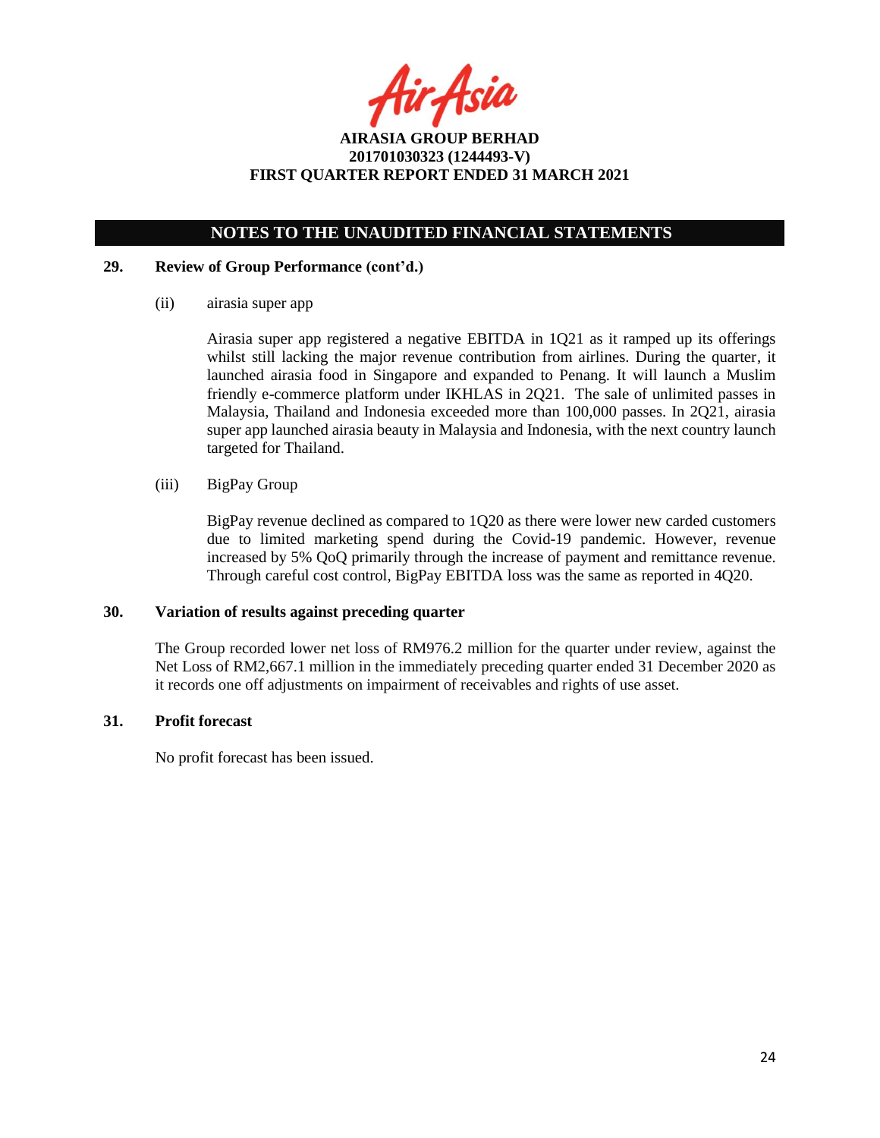fir Asia

## **NOTES TO THE UNAUDITED FINANCIAL STATEMENTS**

### **29. Review of Group Performance (cont'd.)**

(ii) airasia super app

Airasia super app registered a negative EBITDA in 1Q21 as it ramped up its offerings whilst still lacking the major revenue contribution from airlines. During the quarter, it launched airasia food in Singapore and expanded to Penang. It will launch a Muslim friendly e-commerce platform under IKHLAS in 2Q21. The sale of unlimited passes in Malaysia, Thailand and Indonesia exceeded more than 100,000 passes. In 2Q21, airasia super app launched airasia beauty in Malaysia and Indonesia, with the next country launch targeted for Thailand.

(iii) BigPay Group

BigPay revenue declined as compared to 1Q20 as there were lower new carded customers due to limited marketing spend during the Covid-19 pandemic. However, revenue increased by 5% QoQ primarily through the increase of payment and remittance revenue. Through careful cost control, BigPay EBITDA loss was the same as reported in 4Q20.

### **30. Variation of results against preceding quarter**

The Group recorded lower net loss of RM976.2 million for the quarter under review, against the Net Loss of RM2,667.1 million in the immediately preceding quarter ended 31 December 2020 as it records one off adjustments on impairment of receivables and rights of use asset.

### **31. Profit forecast**

No profit forecast has been issued.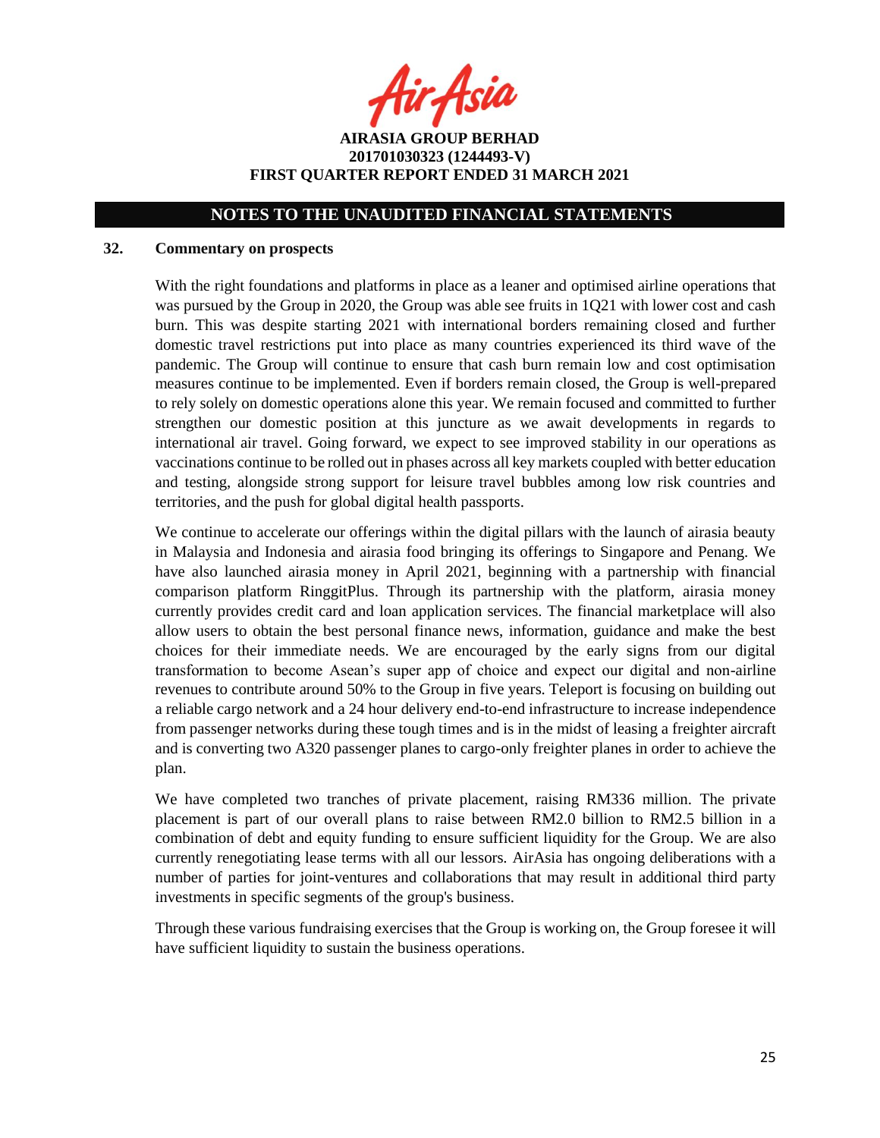fir Asia

**AIRASIA GROUP BERHAD 201701030323 (1244493-V) FIRST QUARTER REPORT ENDED 31 MARCH 2021**

### **32. Commentary on prospects**

With the right foundations and platforms in place as a leaner and optimised airline operations that was pursued by the Group in 2020, the Group was able see fruits in 1Q21 with lower cost and cash burn. This was despite starting 2021 with international borders remaining closed and further domestic travel restrictions put into place as many countries experienced its third wave of the pandemic. The Group will continue to ensure that cash burn remain low and cost optimisation measures continue to be implemented. Even if borders remain closed, the Group is well-prepared to rely solely on domestic operations alone this year. We remain focused and committed to further strengthen our domestic position at this juncture as we await developments in regards to international air travel. Going forward, we expect to see improved stability in our operations as vaccinations continue to be rolled out in phases across all key markets coupled with better education and testing, alongside strong support for leisure travel bubbles among low risk countries and territories, and the push for global digital health passports.

We continue to accelerate our offerings within the digital pillars with the launch of airasia beauty in Malaysia and Indonesia and airasia food bringing its offerings to Singapore and Penang. We have also launched airasia money in April 2021, beginning with a partnership with financial comparison platform RinggitPlus. Through its partnership with the platform, airasia money currently provides credit card and loan application services. The financial marketplace will also allow users to obtain the best personal finance news, information, guidance and make the best choices for their immediate needs. We are encouraged by the early signs from our digital transformation to become Asean's super app of choice and expect our digital and non-airline revenues to contribute around 50% to the Group in five years. Teleport is focusing on building out a reliable cargo network and a 24 hour delivery end-to-end infrastructure to increase independence from passenger networks during these tough times and is in the midst of leasing a freighter aircraft and is converting two A320 passenger planes to cargo-only freighter planes in order to achieve the plan.

We have completed two tranches of private placement, raising RM336 million. The private placement is part of our overall plans to raise between RM2.0 billion to RM2.5 billion in a combination of debt and equity funding to ensure sufficient liquidity for the Group. We are also currently renegotiating lease terms with all our lessors. AirAsia has ongoing deliberations with a number of parties for joint-ventures and collaborations that may result in additional third party investments in specific segments of the group's business.

Through these various fundraising exercises that the Group is working on, the Group foresee it will have sufficient liquidity to sustain the business operations.